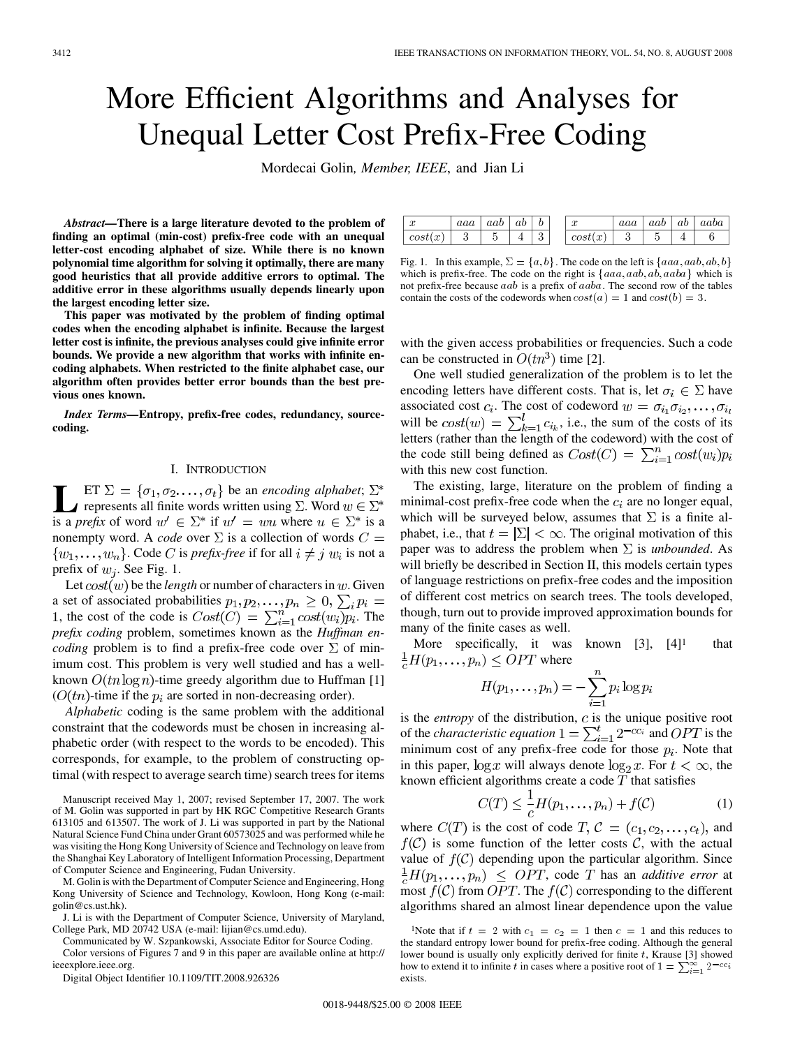# More Efficient Algorithms and Analyses for Unequal Letter Cost Prefix-Free Coding

Mordecai Golin*, Member, IEEE*, and Jian Li

*Abstract—***There is a large literature devoted to the problem of finding an optimal (min-cost) prefix-free code with an unequal letter-cost encoding alphabet of size. While there is no known polynomial time algorithm for solving it optimally, there are many good heuristics that all provide additive errors to optimal. The additive error in these algorithms usually depends linearly upon the largest encoding letter size.**

**This paper was motivated by the problem of finding optimal codes when the encoding alphabet is infinite. Because the largest letter cost is infinite, the previous analyses could give infinite error bounds. We provide a new algorithm that works with infinite encoding alphabets. When restricted to the finite alphabet case, our algorithm often provides better error bounds than the best previous ones known.**

*Index Terms—***Entropy, prefix-free codes, redundancy, sourcecoding.**

# I. INTRODUCTION

ET  $\Sigma = \{\sigma_1, \sigma_2, ..., \sigma_t\}$  be an *encoding alphabet*;<br>represents all finite words written using  $\Sigma$ . Word  $w \in \Sigma^*$ is a *prefix* of word  $w' \in \Sigma^*$  if  $w' = wu$  where  $u \in \Sigma^*$  is a nonempty word. A *code* over  $\Sigma$  is a collection of words  $C =$  $\{w_1, \ldots, w_n\}$ . Code C is *prefix-free* if for all  $i \neq j$   $w_i$  is not a prefix of  $w_i$ . See Fig. 1.

Let  $cost(w)$  be the *length* or number of characters in  $w$ . Given a set of associated probabilities , the cost of the code is  $Cost(C) = \sum_{i=1}^{n} cost(w_i)p_i$ . The *prefix coding* problem, sometimes known as the *Huffman encoding* problem is to find a prefix-free code over  $\Sigma$  of minimum cost. This problem is very well studied and has a wellknown  $O(tn \log n)$ -time greedy algorithm due to Huffman [1]  $(O(tn))$ -time if the  $p_i$  are sorted in non-decreasing order).

*Alphabetic* coding is the same problem with the additional constraint that the codewords must be chosen in increasing alphabetic order (with respect to the words to be encoded). This corresponds, for example, to the problem of constructing optimal (with respect to average search time) search trees for items

Manuscript received May 1, 2007; revised September 17, 2007. The work of M. Golin was supported in part by HK RGC Competitive Research Grants 613105 and 613507. The work of J. Li was supported in part by the National Natural Science Fund China under Grant 60573025 and was performed while he was visiting the Hong Kong University of Science and Technology on leave from the Shanghai Key Laboratory of Intelligent Information Processing, Department of Computer Science and Engineering, Fudan University.

M. Golin is with the Department of Computer Science and Engineering, Hong Kong University of Science and Technology, Kowloon, Hong Kong (e-mail: golin@cs.ust.hk).

J. Li is with the Department of Computer Science, University of Maryland, College Park, MD 20742 USA (e-mail: lijian@cs.umd.edu).

Communicated by W. Szpankowski, Associate Editor for Source Coding.

Color versions of Figures 7 and 9 in this paper are available online at http:// ieeexplore.ieee.org.

Digital Object Identifier 10.1109/TIT.2008.926326

| $\sim$<br>u         | aaa | aab | ab |        | on.<br>u | aaa         | aab | ab | aaba |
|---------------------|-----|-----|----|--------|----------|-------------|-----|----|------|
| cost<br>$\sim$<br>w | U   |     | ÷  | o<br>ັ | cost     | $\sim$<br>w |     | ÷  |      |

Fig. 1. In this example,  $\Sigma = \{a, b\}$ . The code on the left is  $\{aaa, aab, ab, b\}$ which is prefix-free. The code on the right is  ${aaa, aab, ab, aaba}$  which is not prefix-free because aab is a prefix of aaba. The second row of the tables contain the costs of the codewords when  $cost(a)=1$  and  $cost(b)=3$ .

with the given access probabilities or frequencies. Such a code can be constructed in  $O(tn^3)$  time [2].

One well studied generalization of the problem is to let the encoding letters have different costs. That is, let  $\sigma_i \in \Sigma$  have associated cost  $c_i$ . The cost of codeword  $w = \sigma_{i_1} \sigma_{i_2}, \dots, \sigma_{i_l}$ will be  $cost(w) = \sum_{k=1}^{t} c_{i_k}$ , i.e., the sum of the costs of its letters (rather than the length of the codeword) with the cost of the code still being defined as  $Cost(C) = \sum_{i=1}^{n} cost(w_i)p_i$ with this new cost function.

The existing, large, literature on the problem of finding a minimal-cost prefix-free code when the  $c_i$  are no longer equal, which will be surveyed below, assumes that  $\Sigma$  is a finite alphabet, i.e., that  $t = |\Sigma| < \infty$ . The original motivation of this paper was to address the problem when  $\Sigma$  is *unbounded*. As will briefly be described in Section II, this models certain types of language restrictions on prefix-free codes and the imposition of different cost metrics on search trees. The tools developed, though, turn out to provide improved approximation bounds for many of the finite cases as well.

More specifically, it was known  $[3]$ ,  $[4]$ <sup>1</sup> that  $\frac{1}{c}H(p_1,\ldots,p_n)\leq OPT$  where

$$
H(p_1,\ldots,p_n)=-\sum_{i=1}^n p_i \log p
$$

is the *entropy* of the distribution,  $c$  is the unique positive root of the *characteristic equation*  $1 = \sum_{i=1}^{t} 2^{-cc_i}$  and *OPT* is the minimum cost of any prefix-free code for those  $p_i$ . Note that in this paper,  $\log x$  will always denote  $\log_2 x$ . For  $t < \infty$ , the known efficient algorithms create a code  $T$  that satisfies

$$
C(T) \le \frac{1}{c} H(p_1, \dots, p_n) + f(\mathcal{C})
$$
 (1)

where  $C(T)$  is the cost of code  $T, C = (c_1, c_2, \ldots, c_t)$ , and  $f(\mathcal{C})$  is some function of the letter costs  $\mathcal{C}$ , with the actual value of  $f(\mathcal{C})$  depending upon the particular algorithm. Since  $\frac{1}{c}H(p_1,\ldots,p_n) \leq OPT$ , code T has an *additive error* at most  $f(C)$  from OPT. The  $f(C)$  corresponding to the different algorithms shared an almost linear dependence upon the value

<sup>&</sup>lt;sup>1</sup>Note that if  $t = 2$  with  $c_1 = c_2 = 1$  then  $c = 1$  and this reduces to the standard entropy lower bound for prefix-free coding. Although the general lower bound is usually only explicitly derived for finite  $t$ , Krause [3] showed how to extend it to infinite t in cases where a positive root of  $1 = \sum_{i=1}^{\infty} 2^{-cc_i}$ exists.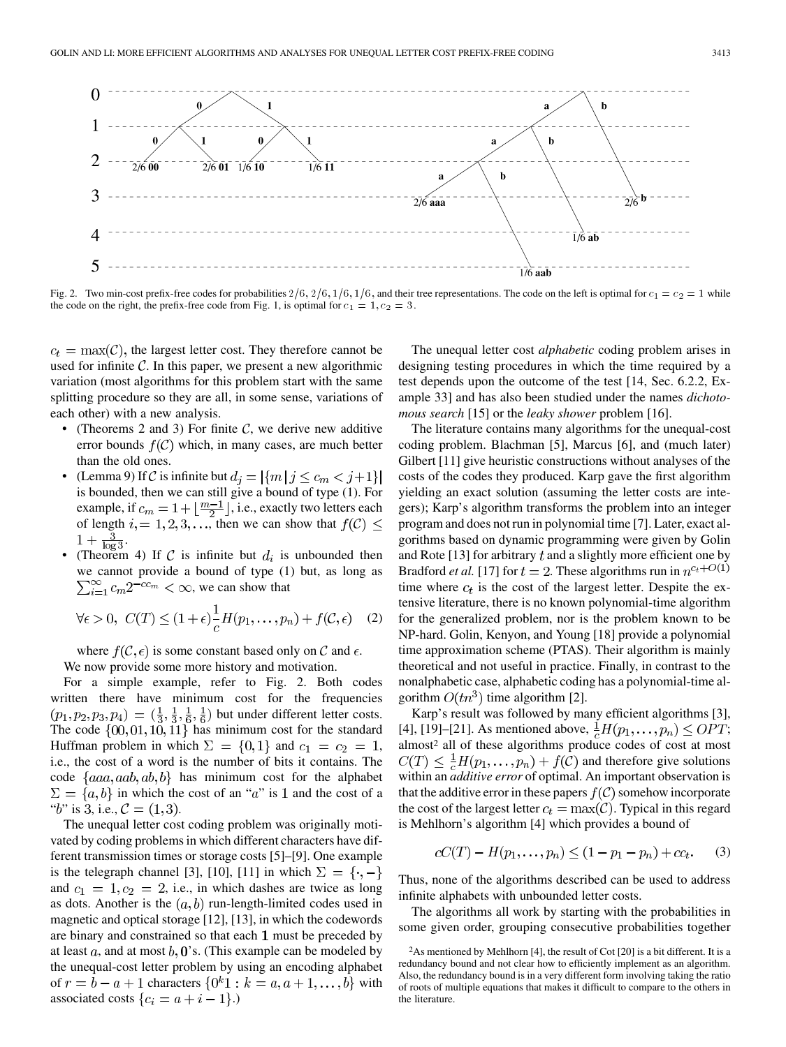

Fig. 2. Two min-cost prefix-free codes for probabilities  $2/6$ ,  $2/6$ ,  $1/6$ ,  $1/6$ , and their tree representations. The code on the left is optimal for  $c_1 = c_2 = 1$  while the code on the right, the prefix-free code from Fig. 1, is optimal for  $c_1 = 1, c_2 = 3$ .

 $c_t = \max(\mathcal{C})$ , the largest letter cost. They therefore cannot be used for infinite  $\mathcal C$ . In this paper, we present a new algorithmic variation (most algorithms for this problem start with the same splitting procedure so they are all, in some sense, variations of each other) with a new analysis.

- (Theorems 2 and 3) For finite  $C$ , we derive new additive error bounds  $f(\mathcal{C})$  which, in many cases, are much better than the old ones.
- (Lemma 9) If C is infinite but  $d_j = |\{m | j \leq c_m < j+1\}|$ is bounded, then we can still give a bound of type (1). For example, if  $c_m = 1 + \lfloor \frac{m-1}{2} \rfloor$ , i.e., exactly two letters each of length  $i = 1, 2, 3, \ldots$ , then we can show that  $f(\mathcal{C}) \leq$  $1 + \frac{3}{\log 3}$
- (Theorem 4) If C is infinite but  $d_i$  is unbounded then we cannot provide a bound of type (1) but, as long as  $\sum_{i=1}^{\infty} c_m 2^{-c c_m} < \infty$ , we can show that

$$
\forall \epsilon > 0, \ C(T) \le (1 + \epsilon) \frac{1}{c} H(p_1, \dots, p_n) + f(\mathcal{C}, \epsilon) \quad (2)
$$

where  $f(C, \epsilon)$  is some constant based only on C and  $\epsilon$ . We now provide some more history and motivation.

For a simple example, refer to Fig. 2. Both codes written there have minimum cost for the frequencies  $(p_1, p_2, p_3, p_4) = (\frac{1}{3}, \frac{1}{3}, \frac{1}{6}, \frac{1}{6})$  but under different letter costs. The code  $\{00, 01, 10, 11\}$  has minimum cost for the standard Huffman problem in which  $\Sigma = \{0,1\}$  and  $c_1 = c_2 = 1$ , i.e., the cost of a word is the number of bits it contains. The code  ${aaa, aab, ab, b}$  has minimum cost for the alphabet  $\Sigma = \{a, b\}$  in which the cost of an "a" is 1 and the cost of a "b" is 3, i.e.,  $C = (1, 3)$ .

The unequal letter cost coding problem was originally motivated by coding problems in which different characters have different transmission times or storage costs [5]–[9]. One example is the telegraph channel [3], [10], [11] in which  $\Sigma = \{\cdot, -\}$ and  $c_1 = 1, c_2 = 2$ , i.e., in which dashes are twice as long as dots. Another is the  $(a, b)$  run-length-limited codes used in magnetic and optical storage [12], [13], in which the codewords are binary and constrained so that each  $1$  must be preceded by at least  $a$ , and at most  $b$ ,  $\mathbf{0}$ 's. (This example can be modeled by the unequal-cost letter problem by using an encoding alphabet of  $r = b - a + 1$  characters  $\{0^k 1 : k = a, a + 1, \ldots, b\}$  with associated costs  $\{c_i = a + i - 1\}$ .)

The unequal letter cost *alphabetic* coding problem arises in designing testing procedures in which the time required by a test depends upon the outcome of the test [14, Sec. 6.2.2, Example 33] and has also been studied under the names *dichotomous search* [15] or the *leaky shower* problem [16].

The literature contains many algorithms for the unequal-cost coding problem. Blachman [5], Marcus [6], and (much later) Gilbert [11] give heuristic constructions without analyses of the costs of the codes they produced. Karp gave the first algorithm yielding an exact solution (assuming the letter costs are integers); Karp's algorithm transforms the problem into an integer program and does not run in polynomial time [7]. Later, exact algorithms based on dynamic programming were given by Golin and Rote [13] for arbitrary  $t$  and a slightly more efficient one by Bradford *et al.* [17] for  $t = 2$ . These algorithms run in  $n^{c_t+O(1)}$ time where  $c_t$  is the cost of the largest letter. Despite the extensive literature, there is no known polynomial-time algorithm for the generalized problem, nor is the problem known to be NP-hard. Golin, Kenyon, and Young [18] provide a polynomial time approximation scheme (PTAS). Their algorithm is mainly theoretical and not useful in practice. Finally, in contrast to the nonalphabetic case, alphabetic coding has a polynomial-time algorithm  $O(tn^3)$  time algorithm [2].

Karp's result was followed by many efficient algorithms [3], [4], [19]–[21]. As mentioned above,  $\frac{1}{c}H(p_1,\ldots,p_n) \leq OPT$ ; almost<sup>2</sup> all of these algorithms produce codes of cost at most  $C(T) \leq \frac{1}{c}H(p_1,\ldots,p_n) + f(\mathcal{C})$  and therefore give solutions within an *additive error* of optimal. An important observation is that the additive error in these papers  $f(C)$  somehow incorporate the cost of the largest letter  $c_t = \max(C)$ . Typical in this regard is Mehlhorn's algorithm [4] which provides a bound of

$$
cC(T) - H(p_1, \dots, p_n) \le (1 - p_1 - p_n) + cc_t.
$$
 (3)

Thus, none of the algorithms described can be used to address infinite alphabets with unbounded letter costs.

The algorithms all work by starting with the probabilities in some given order, grouping consecutive probabilities together

<sup>2</sup>As mentioned by Mehlhorn [4], the result of Cot [20] is a bit different. It is a redundancy bound and not clear how to efficiently implement as an algorithm. Also, the redundancy bound is in a very different form involving taking the ratio of roots of multiple equations that makes it difficult to compare to the others in the literature.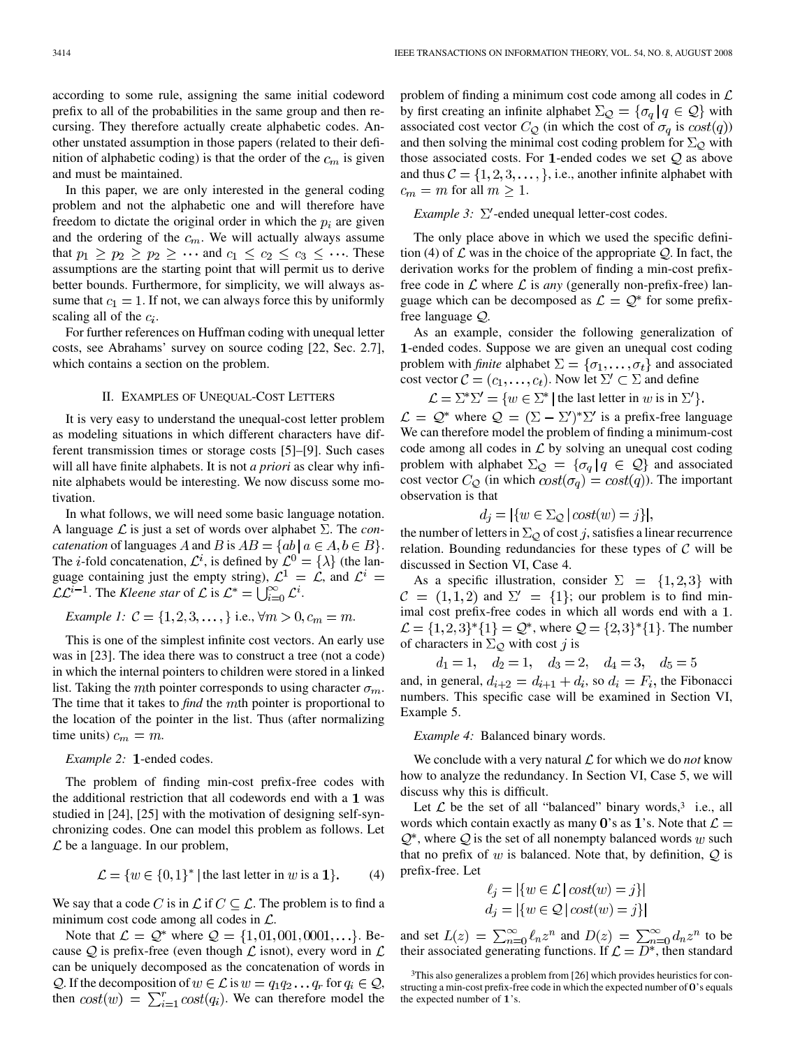according to some rule, assigning the same initial codeword prefix to all of the probabilities in the same group and then recursing. They therefore actually create alphabetic codes. Another unstated assumption in those papers (related to their definition of alphabetic coding) is that the order of the  $c_m$  is given and must be maintained.

In this paper, we are only interested in the general coding problem and not the alphabetic one and will therefore have freedom to dictate the original order in which the  $p_i$  are given and the ordering of the  $c_m$ . We will actually always assume that  $p_1 \geq p_2 \geq p_2 \geq \cdots$  and  $c_1 \leq c_2 \leq c_3 \leq \cdots$ . These assumptions are the starting point that will permit us to derive better bounds. Furthermore, for simplicity, we will always assume that  $c_1 = 1$ . If not, we can always force this by uniformly scaling all of the  $c_i$ .

For further references on Huffman coding with unequal letter costs, see Abrahams' survey on source coding [22, Sec. 2.7], which contains a section on the problem.

## II. EXAMPLES OF UNEQUAL-COST LETTERS

It is very easy to understand the unequal-cost letter problem as modeling situations in which different characters have different transmission times or storage costs [5]–[9]. Such cases will all have finite alphabets. It is not *a priori* as clear why infinite alphabets would be interesting. We now discuss some motivation.

In what follows, we will need some basic language notation. A language  $\mathcal L$  is just a set of words over alphabet  $\Sigma$ . The *concatenation* of languages A and B is  $AB = \{ab \mid a \in A, b \in B\}.$ The *i*-fold concatenation,  $\mathcal{L}^i$ , is defined by  $\mathcal{L}^0 = {\lambda}$  (the language containing just the empty string),  $\mathcal{L}^1 = \mathcal{L}$ , and  $\mathcal{L}^i =$  $\mathcal{LL}^{i-1}$ . The *Kleene star* of  $\mathcal L$  is  $\mathcal L^* = \bigcup_{i=0}^\infty \mathcal L^i$ .

*Example 1:* 
$$
C = \{1, 2, 3, \ldots\}
$$
 i.e.,  $\forall m > 0, c_m = m$ .

This is one of the simplest infinite cost vectors. An early use was in [23]. The idea there was to construct a tree (not a code) in which the internal pointers to children were stored in a linked list. Taking the mth pointer corresponds to using character  $\sigma_m$ . The time that it takes to *find* the *m*th pointer is proportional to the location of the pointer in the list. Thus (after normalizing time units)  $c_m = m$ .

# *Example 2:* 1-ended codes.

The problem of finding min-cost prefix-free codes with the additional restriction that all codewords end with a  $1$  was studied in [24], [25] with the motivation of designing self-synchronizing codes. One can model this problem as follows. Let  $\mathcal L$  be a language. In our problem,

$$
\mathcal{L} = \{w \in \{0, 1\}^* \mid \text{the last letter in } w \text{ is a 1}\}. \tag{4}
$$

We say that a code C is in  $\mathcal L$  if  $C \subset \mathcal L$ . The problem is to find a minimum cost code among all codes in  $\mathcal{L}$ .

Note that  $\mathcal{L} = \mathcal{Q}^*$  where  $\mathcal{Q} = \{1, 01, 001, 0001, ...\}$ . Because Q is prefix-free (even though  $\mathcal L$  isnot), every word in  $\mathcal L$ can be uniquely decomposed as the concatenation of words in Q. If the decomposition of  $w \in \mathcal{L}$  is  $w = q_1 q_2 \dots q_r$  for  $q_i \in \mathcal{Q}$ , then  $cost(w) = \sum_{i=1}^{r} cost(q_i)$ . We can therefore model the problem of finding a minimum cost code among all codes in  $\mathcal L$ by first creating an infinite alphabet  $\Sigma_{\mathcal{Q}} = {\sigma_q | q \in \mathcal{Q}}$  with associated cost vector  $C_Q$  (in which the cost of  $\sigma_q$  is  $cost(q)$ ) and then solving the minimal cost coding problem for  $\Sigma_{\mathcal{Q}}$  with those associated costs. For 1-ended codes we set  $Q$  as above and thus  $C = \{1, 2, 3, \dots\}$ , i.e., another infinite alphabet with  $c_m = m$  for all  $m \geq 1$ .

*Example 3:*  $\Sigma'$ -ended unequal letter-cost codes.

The only place above in which we used the specific definition (4) of  $\mathcal L$  was in the choice of the appropriate  $\mathcal Q$ . In fact, the derivation works for the problem of finding a min-cost prefixfree code in  $\mathcal L$  where  $\mathcal L$  is *any* (generally non-prefix-free) language which can be decomposed as  $\mathcal{L} = \mathcal{Q}^*$  for some prefixfree language  $Q$ .

As an example, consider the following generalization of 1-ended codes. Suppose we are given an unequal cost coding problem with *finite* alphabet  $\Sigma = {\sigma_1, \ldots, \sigma_t}$  and associated cost vector  $C = (c_1, \ldots, c_t)$ . Now let  $\Sigma' \subset \Sigma$  and define

$$
\mathcal{L} = \Sigma^* \Sigma' = \{ w \in \Sigma^* \mid \text{the last letter in } w \text{ is in } \Sigma' \}.
$$

 $\mathcal{L} = \mathcal{Q}^*$  where  $\mathcal{Q} = (\Sigma - \Sigma')^* \Sigma'$  is a prefix-free language We can therefore model the problem of finding a minimum-cost code among all codes in  $\mathcal L$  by solving an unequal cost coding problem with alphabet  $\Sigma_{\mathcal{Q}} = {\{\sigma_q | q \in \mathcal{Q}\}}$  and associated cost vector  $C_Q$  (in which  $cost(\sigma_q) = cost(q)$ ). The important observation is that

$$
d_j = |\{w \in \Sigma_{\mathcal{Q}} \mid cost(w) = j\}|,
$$

the number of letters in  $\Sigma_Q$  of cost j, satisfies a linear recurrence relation. Bounding redundancies for these types of  $C$  will be discussed in Section VI, Case 4.

As a specific illustration, consider  $\Sigma = \{1,2,3\}$  with  $C = (1, 1, 2)$  and  $\Sigma' = \{1\}$ ; our problem is to find minimal cost prefix-free codes in which all words end with a 1.  $\mathcal{L} = \{1,2,3\}^*\{1\} = \mathcal{Q}^*$ , where  $\mathcal{Q} = \{2,3\}^*\{1\}$ . The number of characters in  $\Sigma_{\mathcal{Q}}$  with cost j is

 $d_1 = 1$ ,  $d_2 = 1$ ,  $d_3 = 2$ ,  $d_4 = 3$ ,  $d_5 = 5$ 

and, in general,  $d_{i+2} = d_{i+1} + d_i$ , so  $d_i = F_i$ , the Fibonacci numbers. This specific case will be examined in Section VI, Example 5.

## *Example 4:* Balanced binary words.

We conclude with a very natural  $\mathcal L$  for which we do *not* know how to analyze the redundancy. In Section VI, Case 5, we will discuss why this is difficult.

Let  $\mathcal L$  be the set of all "balanced" binary words,<sup>3</sup> i.e., all words which contain exactly as many 0's as 1's. Note that  $\mathcal{L} =$  $\mathcal{Q}^*$ , where  $\mathcal Q$  is the set of all nonempty balanced words w such that no prefix of w is balanced. Note that, by definition,  $Q$  is prefix-free. Let

$$
\ell_j = |\{w \in \mathcal{L} \mid cost(w) = j\}|
$$
  

$$
d_j = |\{w \in \mathcal{Q} \mid cost(w) = j\}|
$$

and set  $L(z) = \sum_{n=0}^{\infty} \ell_n z^n$  and  $D(z) = \sum_{n=0}^{\infty} d_n z^n$  to be their associated generating functions. If  $\mathcal{L} = D^*$ , then standard

<sup>&</sup>lt;sup>3</sup>This also generalizes a problem from [26] which provides heuristics for constructing a min-cost prefix-free code in which the expected number of 0's equals the expected number of 1's.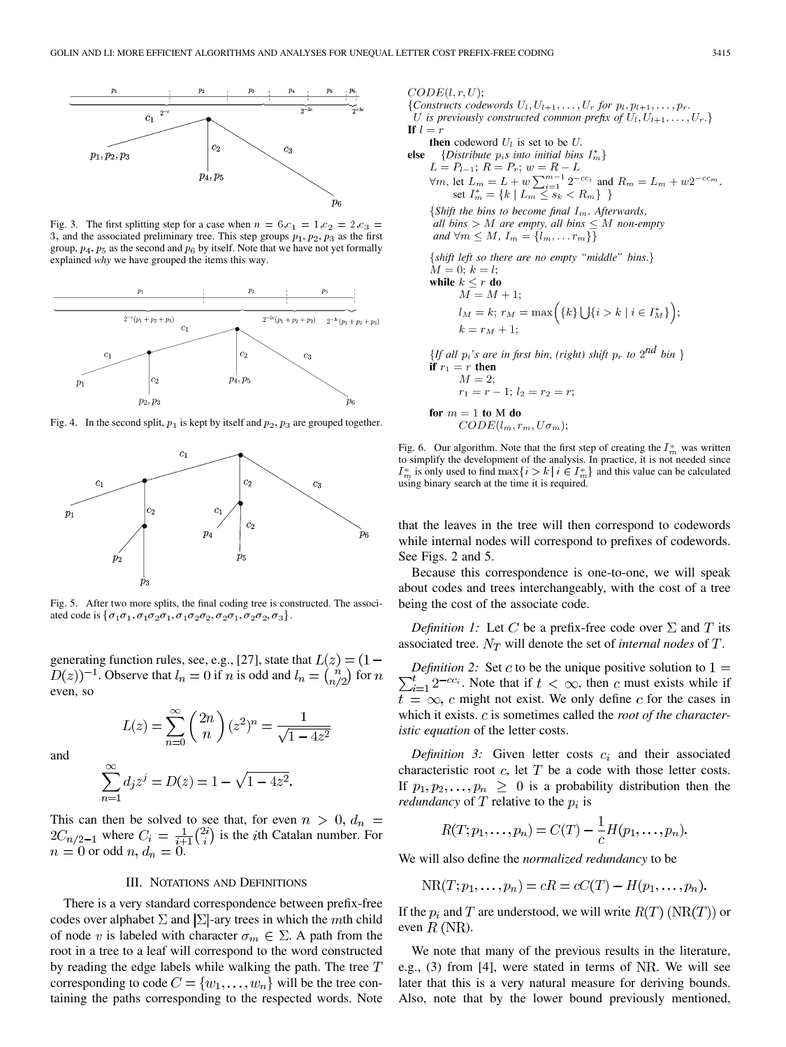

Fig. 3. The first splitting step for a case when  $n = 6, c_1 = 1, c_2 = 2, c_3 =$ 3, and the associated preliminary tree. This step groups  $p_1, p_2, p_3$  as the first group,  $p_4$ ,  $p_5$  as the second and  $p_6$  by itself. Note that we have not yet formally explained *why* we have grouped the items this way.



Fig. 4. In the second split,  $p_1$  is kept by itself and  $p_2, p_3$  are grouped together.



Fig. 5. After two more splits, the final coding tree is constructed. The associated code is  $\{\sigma_1\sigma_1, \sigma_1\sigma_2\sigma_1, \sigma_1\sigma_2\sigma_2, \sigma_2\sigma_1, \sigma_2\sigma_2, \sigma_3\}.$ 

generating function rules, see, e.g., [27], state that  $L(z) = (1 D(z)$ <sup>-1</sup>. Observe that  $l_n = 0$  if n is odd and  $l_n = {n \choose n/2}$  for n even, so

$$
L(z) = \sum_{n=0}^{\infty} {2n \choose n} (z^2)^n = \frac{1}{\sqrt{1 - 4z^2}}
$$

and

$$
\sum_{n=1}^{\infty} d_j z^j = D(z) = 1 - \sqrt{1 - 4z^2}.
$$

This can then be solved to see that, for even  $n > 0$ ,  $d_n =$ where  $C_i = \frac{1}{i+1} \binom{2i}{i}$  is the *i*th Catalan number. For or odd  $n, d_n = 0$ .

#### III. NOTATIONS AND DEFINITIONS

There is a very standard correspondence between prefix-free codes over alphabet  $\Sigma$  and  $\Sigma$ -ary trees in which the mth child of node v is labeled with character  $\sigma_m \in \Sigma$ . A path from the root in a tree to a leaf will correspond to the word constructed by reading the edge labels while walking the path. The tree  $T$ corresponding to code  $C = \{w_1, \ldots, w_n\}$  will be the tree containing the paths corresponding to the respected words. Note  $CODE(l, r, U);$ 

{Constructs codewords  $U_1, U_{l+1}, \ldots, U_r$  for  $p_l, p_{l+1}, \ldots, p_r$ . U is previously constructed common prefix of  $U_1, U_{l+1}, \ldots, U_r.$ If  $l = r$ 

**then** codeword  $U_l$  is set to be  $U$ .

else {Distribute  $p_i s$  into initial bins  $I_m^*$ }

 $L = P_{l-1}; R = P_r; w = R - L$  $\forall m, \text{ let } L_m = L + w \sum_{i=1}^{m-1} 2^{-cc_i} \text{ and } R_m = L_m + w 2^{-cc_m}.$ <br>set  $I_m^* = \{k \mid L_m \leq s_k < R_m\}$ 

{Shift the bins to become final  $I_m$ . Afterwards, all bins > M are empty, all bins  $\leq M$  non-empty and  $\forall m \leq M$ ,  $I_m = \{l_m, \ldots r_m\}\}\$ {shift left so there are no empty "middle" bins.}

$$
M = 0; k = l;
$$
  
\nwhile  $k \le r$  do  
\n
$$
M = M + 1;
$$
  
\n
$$
l_M = k; r_M = \max\left(\{k\} \bigcup \{i > k \mid i \in I_M^*\}\right);
$$
  
\n
$$
k = r_M + 1;
$$

{If all  $p_i$ 's are in first bin, (right) shift  $p_r$  to  $2^{nd}$  bin } if  $r_1 = r$  then  $M=2;$  $r_1 = r - 1; l_2 = r_2 = r;$ for  $m = 1$  to M do  $CODE(l_m, r_m, U\sigma_m);$ 

Fig. 6. Our algorithm. Note that the first step of creating the  $I_m^*$  was written to simplify the development of the analysis. In practice, it is not needed since  $I_m^*$  is only used to find  $\max\{i>k \mid i \in I_m^*\}$  and this value can be calculated using binary search at the time it is required.

that the leaves in the tree will then correspond to codewords while internal nodes will correspond to prefixes of codewords. See Figs. 2 and 5.

Because this correspondence is one-to-one, we will speak about codes and trees interchangeably, with the cost of a tree being the cost of the associate code.

*Definition 1:* Let C be a prefix-free code over  $\Sigma$  and T its associated tree.  $N_T$  will denote the set of *internal nodes* of  $T$ .

*Definition 2:* Set c to be the unique positive solution to  $1 =$  $\sum_{i=1}^{t} 2^{-cc_i}$ . Note that if  $t < \infty$ , then c must exists while if  $t = \infty$ , c might not exist. We only define c for the cases in which it exists. c is sometimes called the *root of the characteristic equation* of the letter costs.

*Definition 3:* Given letter costs  $c_i$  and their associated characteristic root  $c$ , let  $T$  be a code with those letter costs. If  $p_1, p_2, \ldots, p_n \geq 0$  is a probability distribution then the *redundancy* of T relative to the  $p_i$  is

$$
R(T;p_1,\ldots,p_n)=C(T)-\frac{1}{c}H(p_1,\ldots,p_n).
$$

We will also define the *normalized redundancy* to be

$$
NR(T;p_1,\ldots,p_n)=cR=cC(T)-H(p_1,\ldots,p_n).
$$

If the  $p_i$  and T are understood, we will write  $R(T)$  (NR(T)) or even  $R$  (NR).

We note that many of the previous results in the literature, e.g.,  $(3)$  from [4], were stated in terms of NR. We will see later that this is a very natural measure for deriving bounds. Also, note that by the lower bound previously mentioned,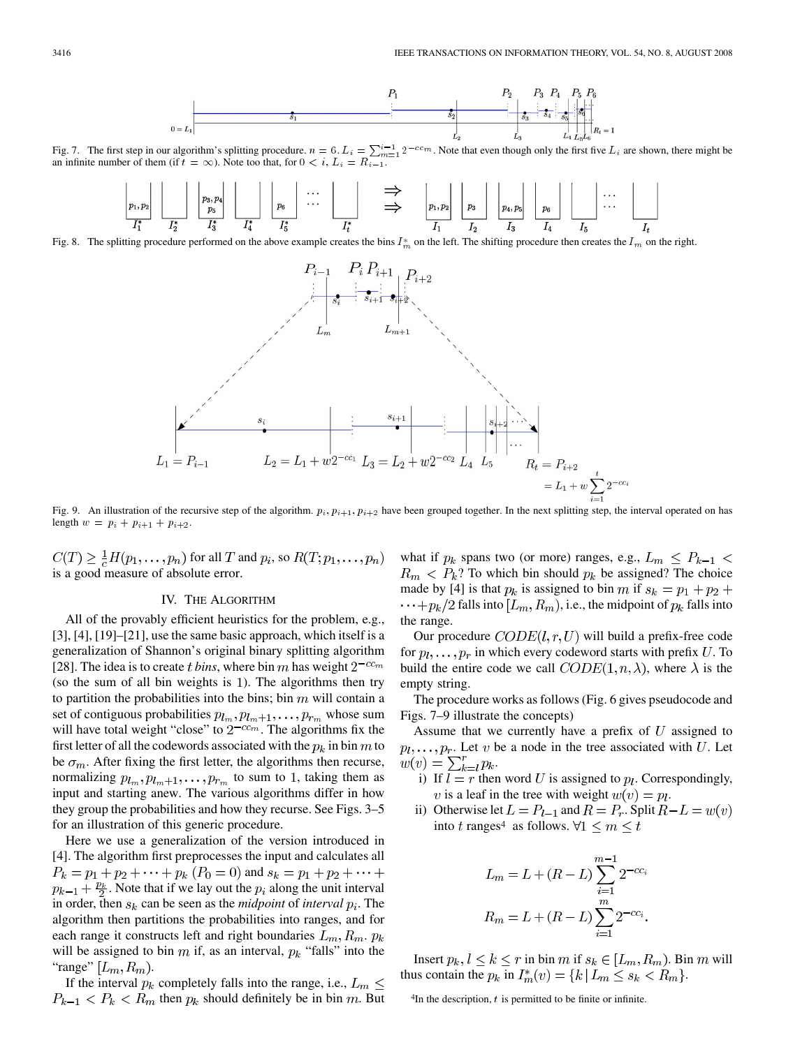

Fig. 7. The first step in our algorithm's splitting procedure.  $n = 6$ .  $L_i = \sum_{i=1}^{i-1} 2^{-c_i m}$ . Note that even though only the first five  $L_i$  are shown, there might be an infinite number of them (if  $t = \infty$ ). Note too t

Fig. 8. The splitting procedure performed on the above example creates the bins  $I_m^*$  on the left. The shifting procedure then creates the  $I_m$  on the right.



Fig. 9. An illustration of the recursive step of the algorithm.  $p_i, p_{i+1}, p_{i+2}$  have been grouped together. In the next splitting step, the interval operated on has length  $w = p_i + p_{i+1} + p_{i+2}$ .

 $C(T) \geq \frac{1}{c}H(p_1,\ldots,p_n)$  for all T and  $p_i$ , so  $R(T;p_1,\ldots,p_n)$ is a good measure of absolute error.

## IV. THE ALGORITHM

All of the provably efficient heuristics for the problem, e.g.,  $[3]$ ,  $[4]$ ,  $[19]$ – $[21]$ , use the same basic approach, which itself is a generalization of Shannon's original binary splitting algorithm [28]. The idea is to create *t bins*, where bin m has weight  $2^{-cc_m}$ (so the sum of all bin weights is 1). The algorithms then try to partition the probabilities into the bins; bin  $m$  will contain a set of contiguous probabilities  $p_{l_m}, p_{l_m+1}, \ldots, p_{r_m}$  whose sum will have total weight "close" to  $2^{-cc_m}$ . The algorithms fix the first letter of all the codewords associated with the  $p_k$  in bin m to be  $\sigma_m$ . After fixing the first letter, the algorithms then recurse, normalizing  $p_{l_m}, p_{l_m+1}, \ldots, p_{r_m}$  to sum to 1, taking them as input and starting anew. The various algorithms differ in how they group the probabilities and how they recurse. See Figs. 3–5 for an illustration of this generic procedure.

Here we use a generalization of the version introduced in [4]. The algorithm first preprocesses the input and calculates all  $P_k = p_1 + p_2 + \cdots + p_k$   $(P_0 = 0)$  and  $s_k = p_1 + p_2 + \cdots$  $p_{k-1} + \frac{p_k}{2}$ . Note that if we lay out the  $p_i$  along the unit interval in order, then  $s_k$  can be seen as the *midpoint* of *interval*  $p_i$ . The algorithm then partitions the probabilities into ranges, and for each range it constructs left and right boundaries  $L_m, R_m, p_k$ will be assigned to bin  $m$  if, as an interval,  $p_k$  "falls" into the "range"  $[L_m, R_m)$ .

If the interval  $p_k$  completely falls into the range, i.e.,  $L_m \leq$  $P_{k-1} < P_k < R_m$  then  $p_k$  should definitely be in bin m. But

what if  $p_k$  spans two (or more) ranges, e.g.,  $L_m \leq P_{k-1}$  $R_m < P_k$ ? To which bin should  $p_k$  be assigned? The choice made by [4] is that  $p_k$  is assigned to bin m if  $s_k = p_1 + p_2 +$  $\cdots + p_k/2$  falls into  $[L_m, R_m)$ , i.e., the midpoint of  $p_k$  falls into the range.

Our procedure  $CODE(l, r, U)$  will build a prefix-free code for  $p_1, \ldots, p_r$  in which every codeword starts with prefix U. To build the entire code we call  $CODE(1, n, \lambda)$ , where  $\lambda$  is the empty string.

The procedure works as follows (Fig. 6 gives pseudocode and Figs. 7–9 illustrate the concepts)

Assume that we currently have a prefix of  $U$  assigned to  $p_1, \ldots, p_r$ . Let v be a node in the tree associated with U. Let  $w(v) = \sum_{k=l}^{r} p_k.$ 

- i) If  $l = r$  then word U is assigned to  $p_l$ . Correspondingly, v is a leaf in the tree with weight  $w(v) = p_l$ .
- ii) Otherwise let  $L = P_{l-1}$  and  $R = P_r$ . Split  $R L = w(v)$ into t ranges<sup>4</sup> as follows.  $\forall 1 \leq m \leq t$

$$
L_m = L + (R - L) \sum_{i=1}^{m-1} 2^{-cc_i}
$$

$$
R_m = L + (R - L) \sum_{i=1}^{m} 2^{-cc_i}
$$

Insert  $p_k, l \leq k \leq r$  in bin m if  $s_k \in [L_m, R_m)$ . Bin m will thus contain the  $p_k$  in  $I_m^*(v) = \{k | L_m \le s_k < R_m \}.$ 

 $4$ In the description,  $t$  is permitted to be finite or infinite.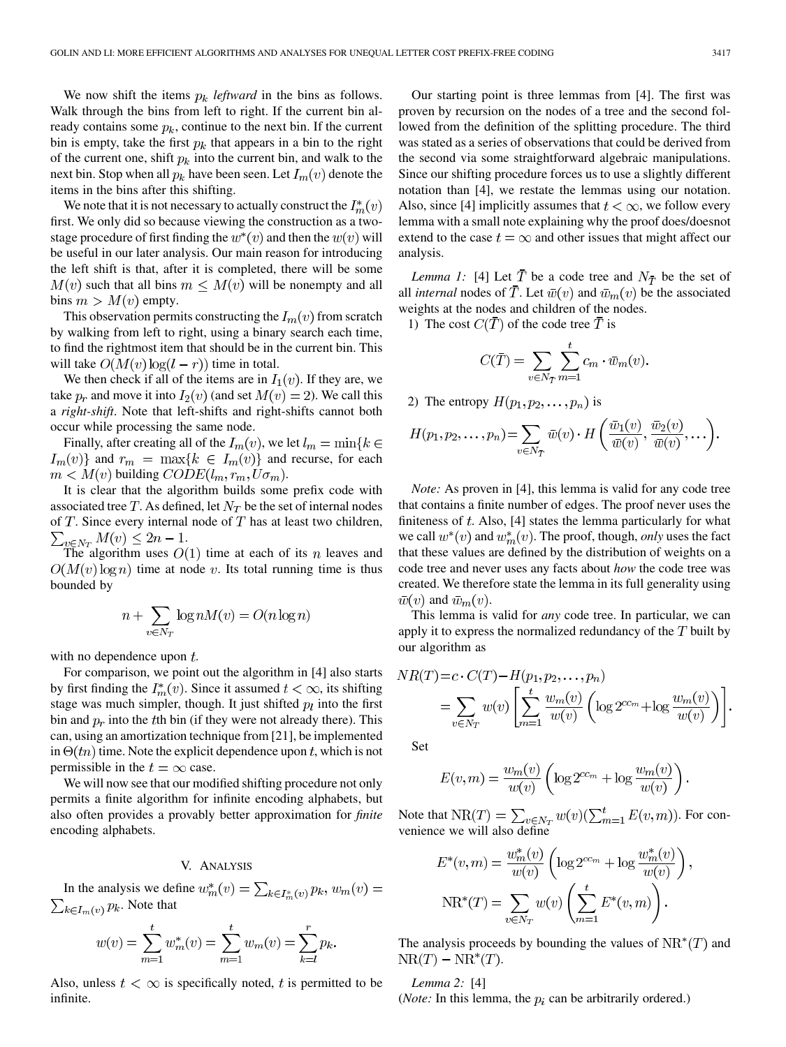We now shift the items  $p_k$  *leftward* in the bins as follows. Walk through the bins from left to right. If the current bin already contains some  $p_k$ , continue to the next bin. If the current bin is empty, take the first  $p_k$  that appears in a bin to the right of the current one, shift  $p_k$  into the current bin, and walk to the next bin. Stop when all  $p_k$  have been seen. Let  $I_m(v)$  denote the items in the bins after this shifting.

We note that it is not necessary to actually construct the  $I_m^*(v)$ first. We only did so because viewing the construction as a twostage procedure of first finding the  $w^*(v)$  and then the  $w(v)$  will be useful in our later analysis. Our main reason for introducing the left shift is that, after it is completed, there will be some  $M(v)$  such that all bins  $m \leq M(v)$  will be nonempty and all bins  $m > M(v)$  empty.

This observation permits constructing the  $I_m(v)$  from scratch by walking from left to right, using a binary search each time, to find the rightmost item that should be in the current bin. This will take  $O(M(v) \log(l - r))$  time in total.

We then check if all of the items are in  $I_1(v)$ . If they are, we take  $p_r$  and move it into  $I_2(v)$  (and set  $M(v) = 2$ ). We call this a *right-shift*. Note that left-shifts and right-shifts cannot both occur while processing the same node.

Finally, after creating all of the  $I_m(v)$ , we let  $l_m = \min\{k \in$  $I_m(v)$  and  $r_m = \max\{k \in I_m(v)\}\$  and recurse, for each  $m < M(v)$  building  $CODE(l_m, r_m, U\sigma_m)$ .

It is clear that the algorithm builds some prefix code with associated tree T. As defined, let  $N_T$  be the set of internal nodes of  $T$ . Since every internal node of  $T$  has at least two children,  $\sum_{v \in N_T} M(v) \leq 2n - 1.$ 

The algorithm uses  $O(1)$  time at each of its n leaves and  $O(M(v) \log n)$  time at node v. Its total running time is thus bounded by

$$
n + \sum_{v \in N_T} \log n M(v) = O(n \log n)
$$

with no dependence upon  $t$ .

For comparison, we point out the algorithm in [4] also starts by first finding the  $I_m^*(v)$ . Since it assumed  $t < \infty$ , its shifting stage was much simpler, though. It just shifted  $p_l$  into the first bin and  $p_r$  into the the bin (if they were not already there). This can, using an amortization technique from [21], be implemented in  $\Theta(tn)$  time. Note the explicit dependence upon t, which is not permissible in the  $t = \infty$  case.

We will now see that our modified shifting procedure not only permits a finite algorithm for infinite encoding alphabets, but also often provides a provably better approximation for *finite* encoding alphabets.

# V. ANALYSIS

In the analysis we define  $w_m^*(v) = \sum_{k \in I_m^*(v)} p_k, w_m(v) =$  $\sum_{k \in I_m(v)} p_k$ . Note that

$$
w(v) = \sum_{m=1}^{t} w_m^*(v) = \sum_{m=1}^{t} w_m(v) = \sum_{k=l}^{r} p_k.
$$

Also, unless  $t < \infty$  is specifically noted, t is permitted to be infinite.

Our starting point is three lemmas from [4]. The first was proven by recursion on the nodes of a tree and the second followed from the definition of the splitting procedure. The third was stated as a series of observations that could be derived from the second via some straightforward algebraic manipulations. Since our shifting procedure forces us to use a slightly different notation than [4], we restate the lemmas using our notation. Also, since [4] implicitly assumes that  $t < \infty$ , we follow every lemma with a small note explaining why the proof does/doesnot extend to the case  $t = \infty$  and other issues that might affect our analysis.

*Lemma 1:* [4] Let  $\overline{T}$  be a code tree and  $N_{\overline{T}}$  be the set of all *internal* nodes of  $\overline{T}$ . Let  $\overline{w}(v)$  and  $\overline{w}_m(v)$  be the associated weights at the nodes and children of the nodes.

1) The cost  $C(\overline{T})$  of the code tree  $\overline{T}$  is

$$
C(\overline{T}) = \sum_{v \in N_{\overline{T}}} \sum_{m=1}^{t} c_m \cdot \overline{w}_m(v).
$$

2) The entropy  $H(p_1, p_2, \ldots, p_n)$  is

$$
H(p_1, p_2, \ldots, p_n) = \sum_{v \in N_T} \overline{w}(v) \cdot H\left(\frac{\overline{w}_1(v)}{\overline{w}(v)}, \frac{\overline{w}_2(v)}{\overline{w}(v)}, \ldots\right)
$$

*Note:* As proven in [4], this lemma is valid for any code tree that contains a finite number of edges. The proof never uses the finiteness of  $t$ . Also, [4] states the lemma particularly for what we call  $w^*(v)$  and  $w^*_m(v)$ . The proof, though, *only* uses the fact that these values are defined by the distribution of weights on a code tree and never uses any facts about *how* the code tree was created. We therefore state the lemma in its full generality using  $\bar{w}(v)$  and  $\bar{w}_m(v)$ .

This lemma is valid for *any* code tree. In particular, we can apply it to express the normalized redundancy of the  $T$  built by our algorithm as

$$
NR(T) = c \cdot C(T) - H(p_1, p_2, ..., p_n)
$$
  
= 
$$
\sum_{v \in N_T} w(v) \left[ \sum_{m=1}^t \frac{w_m(v)}{w(v)} \left( \log 2^{cc_m} + \log \frac{w_m(v)}{w(v)} \right) \right].
$$

Set

$$
E(v, m) = \frac{w_m(v)}{w(v)} \left( \log 2^{cc_m} + \log \frac{w_m(v)}{w(v)} \right)
$$

Note that  $NR(T) = \sum_{v \in N_T} w(v) (\sum_{m=1}^t E(v, m))$ . For convenience we will also define

$$
E^*(v, m) = \frac{w_m^*(v)}{w(v)} \left( \log 2^{cc_m} + \log \frac{w_m^*(v)}{w(v)} \right)
$$

$$
NR^*(T) = \sum_{v \in N_T} w(v) \left( \sum_{m=1}^t E^*(v, m) \right).
$$

 $\overline{\phantom{a}}$ 

The analysis proceeds by bounding the values of  $NR^*(T)$  and  $NR(T) - NR^*(T).$ 

*Lemma 2:* [4]

(*Note:* In this lemma, the  $p_i$  can be arbitrarily ordered.)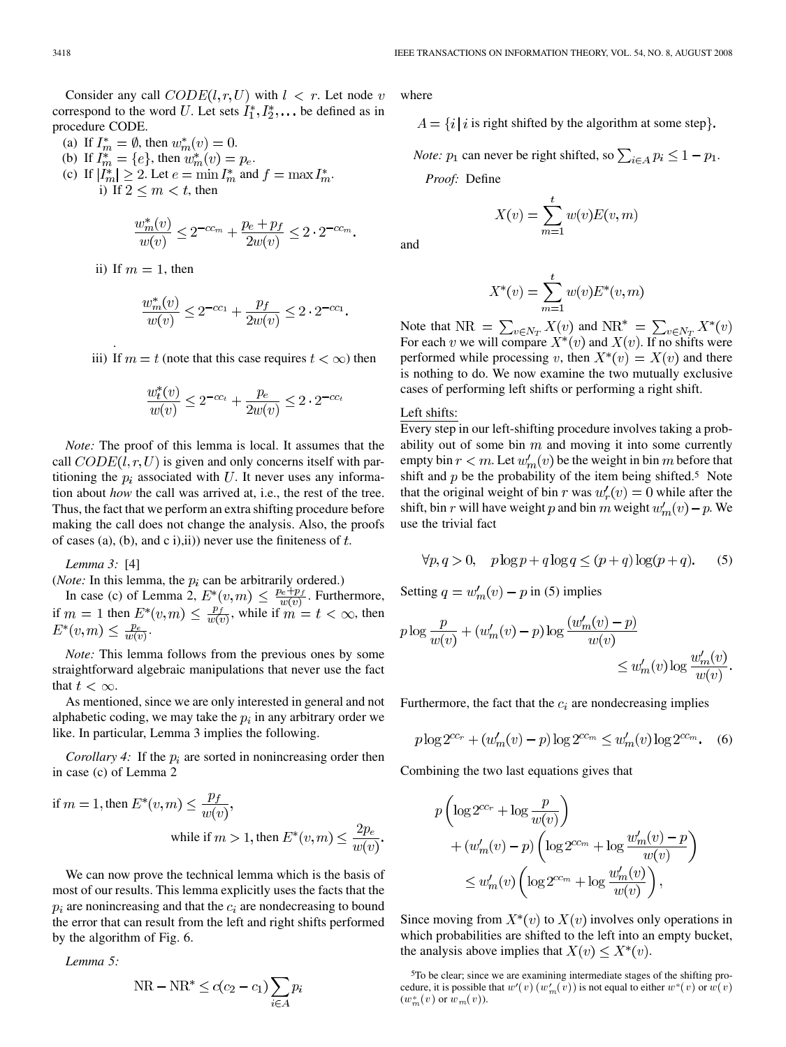Consider any call  $CODE(l, r, U)$  with  $l \lt r$ . Let node v correspond to the word U. Let sets  $I_1^*, I_2^*, \dots$  be defined as in procedure CODE.

(a) If  $I_m^* = \emptyset$ , then  $w_m^*(v) = 0$ . (b) If  $I_m^* = \{e\}$ , then  $w_m^*(v) = p_e$ . (c) If  $|I_m^*| \geq 2$ . Let  $e = \min I_m^*$  and  $f = \max I_m^*$ . i) If  $2 \leq m < t$ , then

$$
\frac{w_m^*(v)}{w(v)} \le 2^{-cc_m} + \frac{p_e + p_f}{2w(v)} \le 2 \cdot 2^{-cc_m}.
$$

ii) If  $m = 1$ , then

.

$$
\frac{w_m^*(v)}{w(v)} \le 2^{-cc_1} + \frac{p_f}{2w(v)} \le 2 \cdot 2^{-cc_1}
$$

iii) If  $m = t$  (note that this case requires  $t < \infty$ ) then

$$
\frac{w_t^*(v)}{w(v)} \le 2^{-cc_t} + \frac{p_e}{2w(v)} \le 2 \cdot 2^{-cc_t}
$$

*Note:* The proof of this lemma is local. It assumes that the call  $CODE(l, r, U)$  is given and only concerns itself with partitioning the  $p_i$  associated with U. It never uses any information about *how* the call was arrived at, i.e., the rest of the tree. Thus, the fact that we perform an extra shifting procedure before making the call does not change the analysis. Also, the proofs of cases (a), (b), and c i),ii)) never use the finiteness of  $t$ .

*Lemma 3:* [4]

(*Note:* In this lemma, the  $p_i$  can be arbitrarily ordered.)

In case (c) of Lemma 2,  $E^*(v,m) \leq \frac{p_e + p_f}{w(v)}$ . Furthermore, if  $m = 1$  then  $E^*(v, m) \leq \frac{p_f}{w(v)}$ , while if  $m = t < \infty$ , then  $E^*(v,m) \leq \frac{p_e}{w(v)}$ 

*Note:* This lemma follows from the previous ones by some straightforward algebraic manipulations that never use the fact that  $t < \infty$ .

As mentioned, since we are only interested in general and not alphabetic coding, we may take the  $p_i$  in any arbitrary order we like. In particular, Lemma 3 implies the following.

*Corollary 4:* If the  $p_i$  are sorted in nonincreasing order then in case (c) of Lemma 2

if 
$$
m = 1
$$
, then  $E^*(v, m) \le \frac{p_f}{w(v)}$ ,  
while if  $m > 1$ , then  $E^*(v, m) \le \frac{2p_e}{w(v)}$ 

We can now prove the technical lemma which is the basis of most of our results. This lemma explicitly uses the facts that the  $p_i$  are nonincreasing and that the  $c_i$  are nondecreasing to bound the error that can result from the left and right shifts performed by the algorithm of Fig. 6.

*Lemma 5:*

$$
NR - NR^* \le c(c_2 - c_1) \sum_{i \in A} p_i
$$

where

 $A = \{i \mid i \text{ is right shifted by the algorithm at some step}\}.$ 

*Note:*  $p_1$  can never be right shifted, so  $\sum_{i \in A} p_i \leq 1 - p_1$ . *Proof:* Define

$$
X(v) = \sum_{m=1}^{t} w(v)E(v, m)
$$

and

$$
X^*(v) = \sum_{m=1}^t w(v) E^*(v, m)
$$

Note that NR =  $\sum_{v \in N_T} X(v)$  and NR<sup>\*</sup> =  $\sum_{v \in N_T} X^*(v)$ For each v we will compare  $X^*(v)$  and  $X(v)$ . If no shifts were performed while processing v, then  $X^*(v) = X(v)$  and there is nothing to do. We now examine the two mutually exclusive cases of performing left shifts or performing a right shift.

## Left shifts:

Every step in our left-shifting procedure involves taking a probability out of some bin  $m$  and moving it into some currently empty bin  $r < m$ . Let  $w'_m(v)$  be the weight in bin m before that shift and  $p$  be the probability of the item being shifted.<sup>5</sup> Note that the original weight of bin r was  $w'_r(v) = 0$  while after the shift, bin r will have weight p and bin m weight  $w'_m(v) - p$ . We use the trivial fact

$$
\forall p, q > 0, \quad p \log p + q \log q \le (p+q) \log(p+q). \tag{5}
$$

Setting  $q = w'_m(v) - p$  in (5) implies

$$
p \log \frac{p}{w(v)} + (w'_m(v) - p) \log \frac{(w'_m(v) - p)}{w(v)} \leq w'_m(v) \log \frac{w'_m(v)}{w(v)}.
$$

Furthermore, the fact that the  $c_i$  are nondecreasing implies

$$
p \log 2^{cc_r} + (w'_m(v) - p) \log 2^{cc_m} \le w'_m(v) \log 2^{cc_m}.
$$
 (6)

Combining the two last equations gives that

$$
p\left(\log 2^{cc_r} + \log \frac{p}{w(v)}\right)
$$
  
+ 
$$
(w'_m(v) - p)\left(\log 2^{cc_m} + \log \frac{w'_m(v) - p}{w(v)}\right)
$$
  

$$
\leq w'_m(v)\left(\log 2^{cc_m} + \log \frac{w'_m(v)}{w(v)}\right),
$$

Since moving from  $X^*(v)$  to  $X(v)$  involves only operations in which probabilities are shifted to the left into an empty bucket, the analysis above implies that  $X(v) \leq X^*(v)$ .

<sup>5</sup>To be clear; since we are examining intermediate stages of the shifting procedure, it is possible that  $w^{\prime}(v)$   $(w^{\prime}_m(v))$  is not equal to either  $w^{\ast}(v)$  or  $w(v)$  $(w_m^*(v)$  or  $w_m(v)$ ).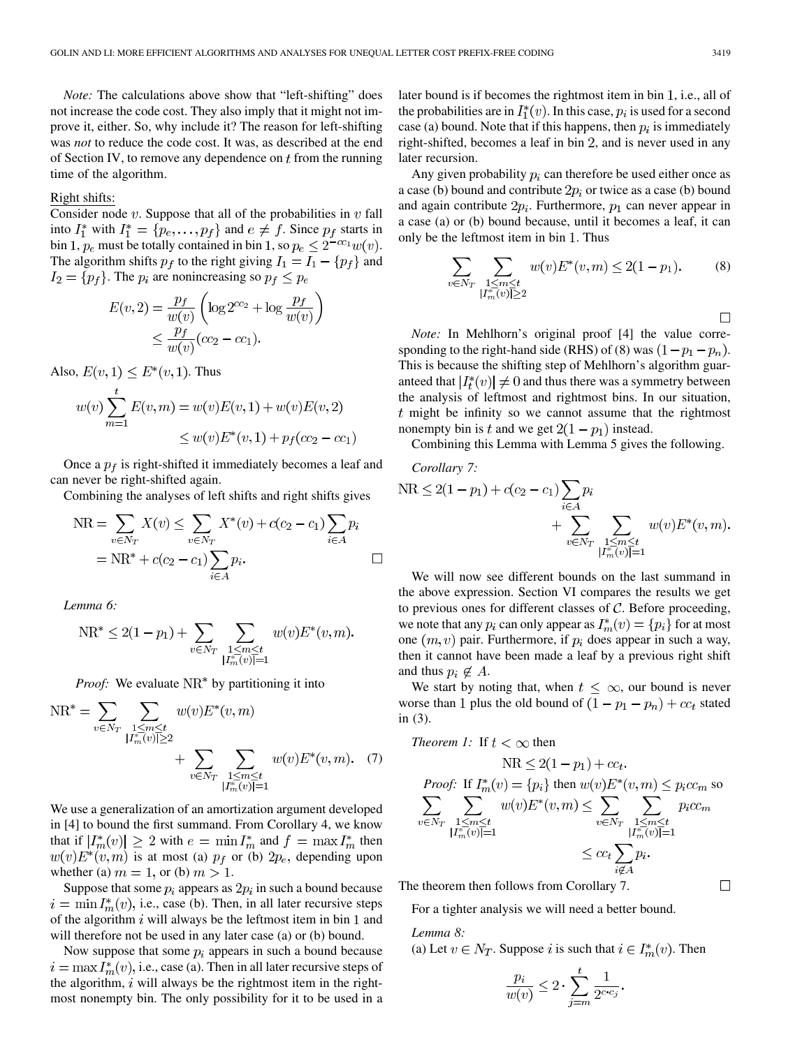*Note:* The calculations above show that "left-shifting" does not increase the code cost. They also imply that it might not improve it, either. So, why include it? The reason for left-shifting was *not* to reduce the code cost. It was, as described at the end of Section IV, to remove any dependence on  $t$  from the running time of the algorithm.

## Right shifts:

Consider node  $v$ . Suppose that all of the probabilities in  $v$  fall into  $I_1^*$  with  $I_1^* = \{p_e, \ldots, p_f\}$  and  $e \neq f$ . Since  $p_f$  starts in bin 1,  $p_e$  must be totally contained in bin 1, so  $p_e \leq 2^{-cc_1} w(v)$ . The algorithm shifts  $p_f$  to the right giving  $I_1 = I_1 - \{p_f\}$  and  $I_2 = \{p_f\}$ . The  $p_i$  are nonincreasing so  $p_f \leq p_e$ 

$$
E(v, 2) = \frac{p_f}{w(v)} \left( \log 2^{cc_2} + \log \frac{p_f}{w(v)} \right)
$$
  
 
$$
\leq \frac{p_f}{w(v)} (cc_2 - cc_1).
$$

Also,  $E(v, 1) \le E^*(v, 1)$ . Thus

$$
w(v) \sum_{m=1}^{l} E(v, m) = w(v)E(v, 1) + w(v)E(v, 2)
$$
  

$$
\leq w(v)E^*(v, 1) + p_f(cc_2 - cc_1)
$$

Once a  $p_f$  is right-shifted it immediately becomes a leaf and can never be right-shifted again.

Combining the analyses of left shifts and right shifts gives

$$
NR = \sum_{v \in N_T} X(v) \le \sum_{v \in N_T} X^*(v) + c(c_2 - c_1) \sum_{i \in A} p_i
$$
  
= NR<sup>\*</sup> + c(c<sub>2</sub> - c<sub>1</sub>) $\sum_{i \in A} p_i$ .

*Lemma 6:*

$$
NR^* \le 2(1 - p_1) + \sum_{v \in N_T} \sum_{\substack{1 \le m \le t \\ |I_m^*(v)| = 1}} w(v) E^*(v, m).
$$

*Proof:* We evaluate NR<sup>\*</sup> by partitioning it into

$$
NR^* = \sum_{v \in N_T} \sum_{\substack{1 \le m \le t \\ |I_m^*(v)| \ge 2}} w(v) E^*(v, m)
$$
  
+ 
$$
\sum_{v \in N_T} \sum_{\substack{1 \le m \le t \\ |I_m^*(v)| = 1}} w(v) E^*(v, m). \quad (7)
$$

We use a generalization of an amortization argument developed in [4] to bound the first summand. From Corollary 4, we know that if  $|I_m^*(v)| \geq 2$  with  $e = \min I_m^*$  and  $f = \max I_m^*$  then  $w(v)E^*(v,m)$  is at most (a)  $p_f$  or (b)  $2p_e$ , depending upon whether (a)  $m = 1$ , or (b)  $m > 1$ .

Suppose that some  $p_i$  appears as  $2p_i$  in such a bound because  $i=\min I_m^*(v)$ , i.e., case (b). Then, in all later recursive steps of the algorithm  $i$  will always be the leftmost item in bin 1 and will therefore not be used in any later case (a) or (b) bound.

Now suppose that some  $p_i$  appears in such a bound because  $i=\max I_m^*(v)$ , i.e., case (a). Then in all later recursive steps of the algorithm,  $i$  will always be the rightmost item in the rightmost nonempty bin. The only possibility for it to be used in a later bound is if becomes the rightmost item in bin 1, i.e., all of the probabilities are in  $I_1^*(v)$ . In this case,  $p_i$  is used for a second case (a) bound. Note that if this happens, then  $p_i$  is immediately right-shifted, becomes a leaf in bin  $2$ , and is never used in any later recursion.

Any given probability  $p_i$  can therefore be used either once as a case (b) bound and contribute  $2p_i$  or twice as a case (b) bound and again contribute  $2p_i$ . Furthermore,  $p_1$  can never appear in a case (a) or (b) bound because, until it becomes a leaf, it can only be the leftmost item in bin 1. Thus

$$
\sum_{v \in N_T} \sum_{\substack{1 \le m \le t \\ |I_m^*(v)| \ge 2}} w(v) E^*(v, m) \le 2(1 - p_1). \tag{8}
$$

*Note:* In Mehlhorn's original proof [4] the value corresponding to the right-hand side (RHS) of (8) was  $(1 - p_1 - p_n)$ . This is because the shifting step of Mehlhorn's algorithm guaranteed that  $|I_t^*(v)| \neq 0$  and thus there was a symmetry between the analysis of leftmost and rightmost bins. In our situation,  $t$  might be infinity so we cannot assume that the rightmost nonempty bin is t and we get  $2(1 - p_1)$  instead.

Combining this Lemma with Lemma 5 gives the following.

Corollary 7:  
\n
$$
NR \le 2(1 - p_1) + c(c_2 - c_1) \sum_{i \in A} p_i + \sum_{v \in N_T} \sum_{\substack{1 \le m \le t \\ |I_m^v(v)| = 1}} w(v) E^*(v, m).
$$

We will now see different bounds on the last summand in the above expression. Section VI compares the results we get to previous ones for different classes of  $C$ . Before proceeding, we note that any  $p_i$  can only appear as  $I_m^*(v) = \{p_i\}$  for at most one  $(m, v)$  pair. Furthermore, if  $p_i$  does appear in such a way, then it cannot have been made a leaf by a previous right shift and thus  $p_i \notin A$ .

We start by noting that, when  $t \leq \infty$ , our bound is never worse than 1 plus the old bound of  $(1 - p_1 - p_n) + cc_t$  stated in (3).

Theorem 1: If 
$$
t < \infty
$$
 then  
\n
$$
\text{NR} \le 2(1 - p_1) + cc_t.
$$
\nProof: If  $I_m^*(v) = \{p_i\}$  then  $w(v)E^*(v, m) \le p_icc_m$  so  
\n
$$
\sum_{v \in N_T} \sum_{\substack{1 \le m \le t \\ |I_m^*(v)| = 1}} w(v)E^*(v, m) \le \sum_{v \in N_T} \sum_{\substack{1 \le m \le t \\ |I_m^*(v)| = 1}} p_icc_m
$$
\n
$$
\le cc_t \sum_{i \notin A} p_i.
$$

The theorem then follows from Corollary 7.

For a tighter analysis we will need a better bound.

*Lemma 8:* (a) Let  $v \in N_T$ . Suppose i is such that  $i \in I_m^*(v)$ . Then

$$
\frac{p_i}{w(v)} \leq 2 \cdot \sum_{j=m}^t \frac{1}{2^{c \cdot c_j}}.
$$

 $\Box$ 

 $\Box$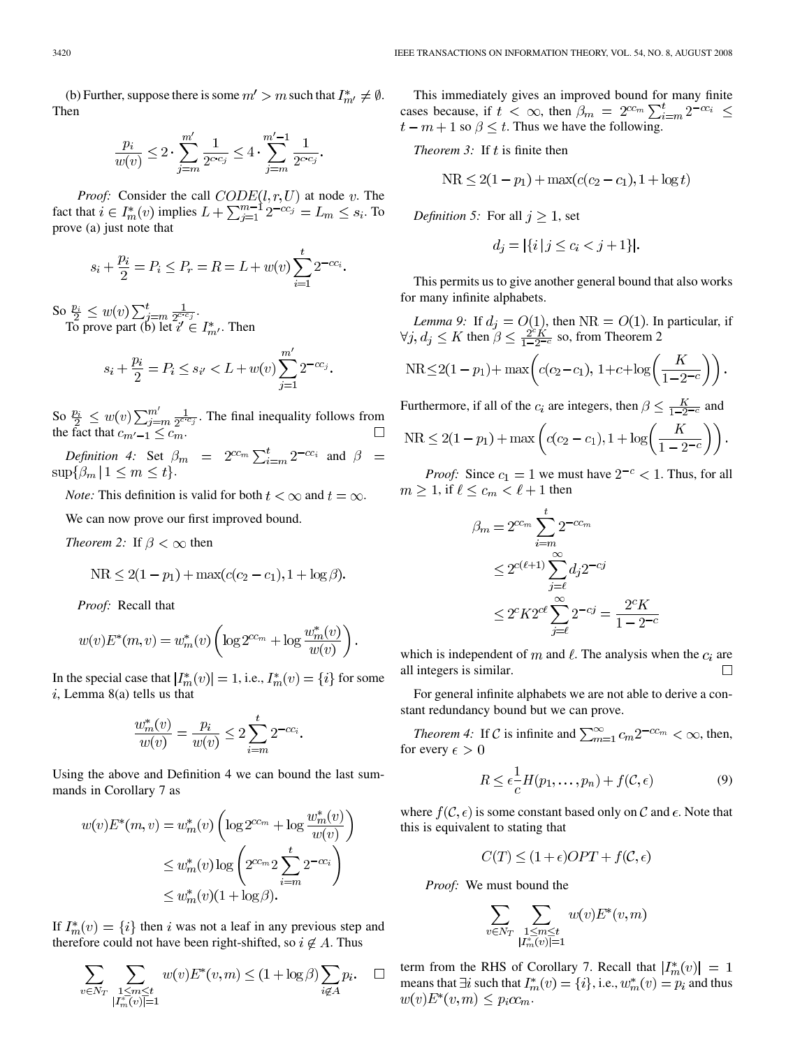(b) Further, suppose there is some  $m' > m$  such that  $I_{m'}^* \neq \emptyset$ . Then

$$
\frac{p_i}{w(v)} \le 2 \cdot \sum_{j=m}^{m'} \frac{1}{2^{c \cdot c_j}} \le 4 \cdot \sum_{j=m}^{m'-1} \frac{1}{2^{c \cdot c_j}}.
$$

*Proof:* Consider the call  $CODE(l, r, U)$  at node v. The fact that  $i \in I_m^*(v)$  implies  $L + \sum_{i=1}^{m-1} 2^{-cc_i} = L_m \leq s_i$ . To prove (a) just note that

$$
s_i + \frac{p_i}{2} = P_i \le P_r = R = L + w(v) \sum_{i=1}^{t} 2^{-cc_i}
$$

So  $\frac{p_i}{2} \leq w(v) \sum_{i=m}^{t} \frac{1}{2^{c_i} c_i}$ . To prove part (b) let  $i' \in I_{m'}^*$ . Then

$$
s_i + \frac{p_i}{2} = P_i \le s_{i'} < L + w(v) \sum_{j=1}^{m'} 2^{-cc_j}
$$

So  $\frac{p_i}{2} \leq w(v) \sum_{i=m}^{m} \frac{1}{2^{c_i} c_i}$ . The final inequality follows from the fact that  $c_{m'-1} \leq c_m$ .

*Definition 4:* Set  $\beta_m = 2^{cc_m} \sum_{i=m}^{t} 2^{-cc_i}$  and .

*Note:* This definition is valid for both  $t < \infty$  and  $t = \infty$ .

We can now prove our first improved bound.

*Theorem 2:* If  $\beta < \infty$  then

$$
NR \le 2(1 - p_1) + \max(c(c_2 - c_1), 1 + \log \beta).
$$

*Proof:* Recall that

$$
w(v)E^*(m, v) = w_m^*(v) \left( \log 2^{cc_m} + \log \frac{w_m^*(v)}{w(v)} \right).
$$

In the special case that  $|I_m^*(v)| = 1$ , i.e.,  $I_m^*(v) = \{i\}$  for some  $i$ , Lemma 8(a) tells us that

$$
\frac{w_m^*(v)}{w(v)} = \frac{p_i}{w(v)} \le 2 \sum_{i=m}^t 2^{-cc_i}
$$

Using the above and Definition 4 we can bound the last summands in Corollary 7 as

$$
w(v)E^*(m, v) = w_m^*(v) \left( \log 2^{cc_m} + \log \frac{w_m^*(v)}{w(v)} \right)
$$
  

$$
\leq w_m^*(v) \log \left( 2^{cc_m} 2 \sum_{i=m}^t 2^{-cc_i} \right)
$$
  

$$
\leq w_m^*(v) (1 + \log \beta).
$$

If  $I_m^*(v) = \{i\}$  then i was not a leaf in any previous step and therefore could not have been right-shifted, so  $i \notin A$ . Thus

$$
\sum_{v \in N_T} \sum_{\substack{1 \le m \le t \\ |I_m^*(v)| = 1}} w(v) E^*(v, m) \le (1 + \log \beta) \sum_{i \notin A} p_i. \quad \Box
$$

This immediately gives an improved bound for many finite cases because, if  $t < \infty$ , then  $\beta_m = 2^{cc_m} \sum_{i=m}^{t} 2^{-cc_i} \le$  $t - m + 1$  so  $\beta \leq t$ . Thus we have the following.

*Theorem 3:* If  $t$  is finite then

$$
NR \le 2(1 - p_1) + \max(c(c_2 - c_1), 1 + \log t)
$$

*Definition 5:* For all  $j \geq 1$ , set

$$
d_j = |\{i \mid j \le c_i < j + 1\}|.
$$

This permits us to give another general bound that also works for many infinite alphabets.

*Lemma 9:* If  $d_i = O(1)$ , then  $NR = O(1)$ . In particular, if then  $\beta \leq \frac{2^{\circ} K}{1-2^{-\circ}}$  so, from Theorem 2

$$
NR \le 2(1 - p_1) + \max\left(c(c_2 - c_1), 1 + c + \log\left(\frac{K}{1 - 2^{-c}}\right)\right).
$$

Furthermore, if all of the  $c_i$  are integers, then  $\beta \leq \frac{K}{1-2^{-c}}$  and

$$
NR \le 2(1 - p_1) + \max\left(c(c_2 - c_1), 1 + \log\left(\frac{K}{1 - 2^{-c}}\right)\right).
$$

*Proof:* Since  $c_1 = 1$  we must have  $2^{-c} < 1$ . Thus, for all  $m \geq 1$ , if  $\ell \leq c_m < \ell + 1$  then

$$
\beta_m = 2^{cc_m} \sum_{i=m}^t 2^{-cc_m}
$$
  
\n
$$
\leq 2^{c(\ell+1)} \sum_{j=\ell}^{\infty} d_j 2^{-cj}
$$
  
\n
$$
\leq 2^{c} K 2^{c\ell} \sum_{j=\ell}^{\infty} 2^{-cj} = \frac{2^{c} K}{1 - 2^{-c}}
$$

which is independent of m and  $\ell$ . The analysis when the  $c_i$  are all integers is similar.  $\Box$ 

For general infinite alphabets we are not able to derive a constant redundancy bound but we can prove.

*Theorem 4:* If C is infinite and  $\sum_{m=1}^{\infty} c_m 2^{-cc_m} < \infty$ , then, for every  $\epsilon > 0$ 

$$
R \le \epsilon \frac{1}{c} H(p_1, \dots, p_n) + f(\mathcal{C}, \epsilon)
$$
\n(9)

where  $f(\mathcal{C}, \epsilon)$  is some constant based only on C and  $\epsilon$ . Note that this is equivalent to stating that

$$
C(T) \le (1 + \epsilon)OPT + f(\mathcal{C}, \epsilon)
$$

*Proof:* We must bound the

$$
\sum_{v \in N_T} \sum_{\substack{1 \le m \le t \\ |I_m^*(v)| = 1}} w(v) E^*(v, m)
$$

term from the RHS of Corollary 7. Recall that  $|I_m^*(v)| = 1$ means that  $\exists i$  such that  $I_m^*(v) = \{i\}$ , i.e.,  $w_m^*(v) = p_i$  and thus  $w(v)E^*(v,m) \leq p_i c c_m.$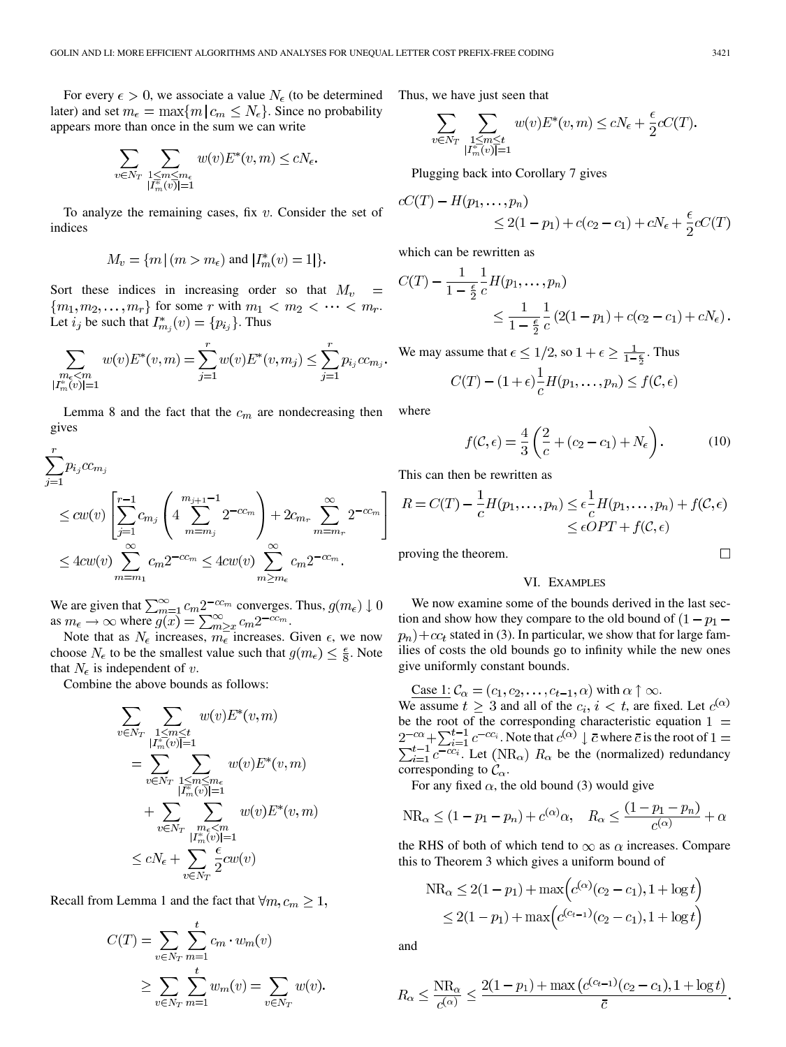For every  $\epsilon > 0$ , we associate a value  $N_{\epsilon}$  (to be determined later) and set  $m_{\epsilon} = \max\{m \mid c_m \leq N_{\epsilon}\}\.$  Since no probability appears more than once in the sum we can write

$$
\sum_{v \in N_T} \sum_{\substack{1 \leq m \leq m_{\epsilon} \\ |I^*_m(v)| = 1}} w(v) E^*(v, m) \leq c N_{\epsilon}.
$$

To analyze the remaining cases, fix  $v$ . Consider the set of indices

$$
M_v=\{m\,|\,(m>m_\epsilon)\text{ and }|I_m^*(v)=1|\}
$$

Sort these indices in increasing order so that  $M_v$  $\!\!\!=\!\!\!\!$  ${m_1, m_2, \ldots, m_r}$  for some r with  $m_1 < m_2 < \cdots < m_r$ . Let  $i_j$  be such that  $I^*_{m_j}(v) = \{p_{i_j}\}\$ . Thus

$$
\sum_{\substack{m_{\epsilon} < m \\ |I^*_{m}(v)| = 1}} w(v) E^*(v, m) = \sum_{j=1}^r w(v) E^*(v, m_j) \le \sum_{j=1}^r p_{i_j} c c_{m_j}.
$$

Lemma 8 and the fact that the  $c_m$  are nondecreasing then gives

$$
\sum_{j=1}^{r} p_{i_j} c c_{m_j}
$$
\n
$$
\le c w(v) \left[ \sum_{j=1}^{r-1} c_{m_j} \left( 4 \sum_{m=m_j}^{m_{j+1}-1} 2^{-c c_m} \right) + 2c_{m_r} \sum_{m=m_r}^{\infty} 2^{-c c_m} \right]
$$
\n
$$
\le 4 c w(v) \sum_{m=m_1}^{\infty} c_m 2^{-c c_m} \le 4 c w(v) \sum_{m \ge m_\epsilon}^{\infty} c_m 2^{-c c_m}.
$$

We are given that  $\sum_{m=1}^{\infty} c_m 2^{-cc_m}$  converges. Thus, as  $m_{\epsilon} \to \infty$  where  $g(x) = \sum_{m>r}^{\infty} c_m 2^{-cc_m}$ .

Note that as  $N_{\epsilon}$  increases,  $m_{\epsilon}$  increases. Given  $\epsilon$ , we now choose  $N_{\epsilon}$  to be the smallest value such that  $g(m_{\epsilon}) \leq \frac{\epsilon}{8}$ . Note that  $N_{\epsilon}$  is independent of v.

Combine the above bounds as follows:

$$
\sum_{v \in N_T} \sum_{\substack{1 \le m \le t \\ |I_m^*(v)| = 1}} w(v) E^*(v, m)
$$
\n
$$
= \sum_{v \in N_T} \sum_{\substack{1 \le m \le m_\epsilon \\ |I_m^*(v)| = 1}} w(v) E^*(v, m)
$$
\n
$$
+ \sum_{v \in N_T} \sum_{\substack{m_\epsilon < m \\ |I_m^*(v)| = 1}} w(v) E^*(v, m)
$$
\n
$$
\le cN_\epsilon + \sum_{v \in N_T} \frac{\epsilon}{2} c w(v)
$$

Recall from Lemma 1 and the fact that  $\forall m, c_m \geq 1$ ,

$$
C(T) = \sum_{v \in N_T} \sum_{m=1}^{t} c_m \cdot w_m(v)
$$
  
 
$$
\geq \sum_{v \in N_T} \sum_{m=1}^{t} w_m(v) = \sum_{v \in N_T} w(v).
$$

Thus, we have just seen that

$$
\sum_{v \in N_T} \sum_{\substack{1 \le m \le t \\ |I_m^*(v)| = 1}} w(v) E^*(v, m) \le cN_{\epsilon} + \frac{\epsilon}{2} cC(T).
$$

Plugging back into Corollary 7 gives

$$
cC(T) - H(p_1, \dots, p_n)
$$
  
\n
$$
\leq 2(1 - p_1) + c(c_2 - c_1) + cN_{\epsilon} + \frac{\epsilon}{2}cC(T)
$$

which can be rewritten as

$$
C(T) - \frac{1}{1 - \frac{\epsilon}{2}} \frac{1}{c} H(p_1, \dots, p_n)
$$
  
\$\leq \frac{1}{1 - \frac{\epsilon}{2}} \frac{1}{c} (2(1 - p\_1) + c(c\_2 - c\_1) + cN\_{\epsilon}).

We may assume that  $\epsilon \leq 1/2$ , so  $1 + \epsilon \geq \frac{1}{1-\frac{\epsilon}{2}}$ . Thus

$$
C(T) - (1 + \epsilon) \frac{1}{c} H(p_1, \dots, p_n) \le f(\mathcal{C}, \epsilon)
$$

where

$$
f(\mathcal{C}, \epsilon) = \frac{4}{3} \left( \frac{2}{c} + (c_2 - c_1) + N_{\epsilon} \right). \tag{10}
$$

This can then be rewritten as

$$
R = C(T) - \frac{1}{c}H(p_1, \dots, p_n) \le \epsilon \frac{1}{c}H(p_1, \dots, p_n) + f(\mathcal{C}, \epsilon)
$$
  

$$
\le \epsilon OPT + f(\mathcal{C}, \epsilon)
$$

proving the theorem.

## VI. EXAMPLES

We now examine some of the bounds derived in the last section and show how they compare to the old bound of  $(1 - p_1 - p_2)$  $p_n$ ) +  $cc_t$  stated in (3). In particular, we show that for large families of costs the old bounds go to infinity while the new ones give uniformly constant bounds.

Case 1: 
$$
C_{\alpha} = (c_1, c_2, \dots, c_{t-1}, \alpha)
$$
 with  $\alpha \uparrow \infty$ .

We assume  $t \geq 3$  and all of the  $c_i$ ,  $i < t$ , are fixed. Let  $c^{(\alpha)}$ be the root of the corresponding characteristic equation . Note that  $c^{(\alpha)} \downarrow \overline{c}$  where  $\overline{c}$  is the root of  $\sum_{i=1}^{t-1} c^{-cc_i}$ . Let  $(NR_{\alpha})$   $R_{\alpha}$  be the (normalized) redundancy corresponding to  $C_{\alpha}$ .

For any fixed  $\alpha$ , the old bound (3) would give

$$
NR_{\alpha} \le (1 - p_1 - p_n) + c^{(\alpha)} \alpha, \quad R_{\alpha} \le \frac{(1 - p_1 - p_n)}{c^{(\alpha)}} + \alpha
$$

the RHS of both of which tend to  $\infty$  as  $\alpha$  increases. Compare this to Theorem 3 which gives a uniform bound of

$$
NR_{\alpha} \le 2(1 - p_1) + \max\left(c^{(\alpha)}(c_2 - c_1), 1 + \log t\right)
$$
  
 
$$
\le 2(1 - p_1) + \max\left(c^{(c_{t-1})}(c_2 - c_1), 1 + \log t\right)
$$

and

$$
R_{\alpha} \le \frac{N R_{\alpha}}{c^{(\alpha)}} \le \frac{2(1 - p_1) + \max\left(c^{(c_{t-1})}(c_2 - c_1), 1 + \log t\right)}{\bar{c}}
$$

 $\Box$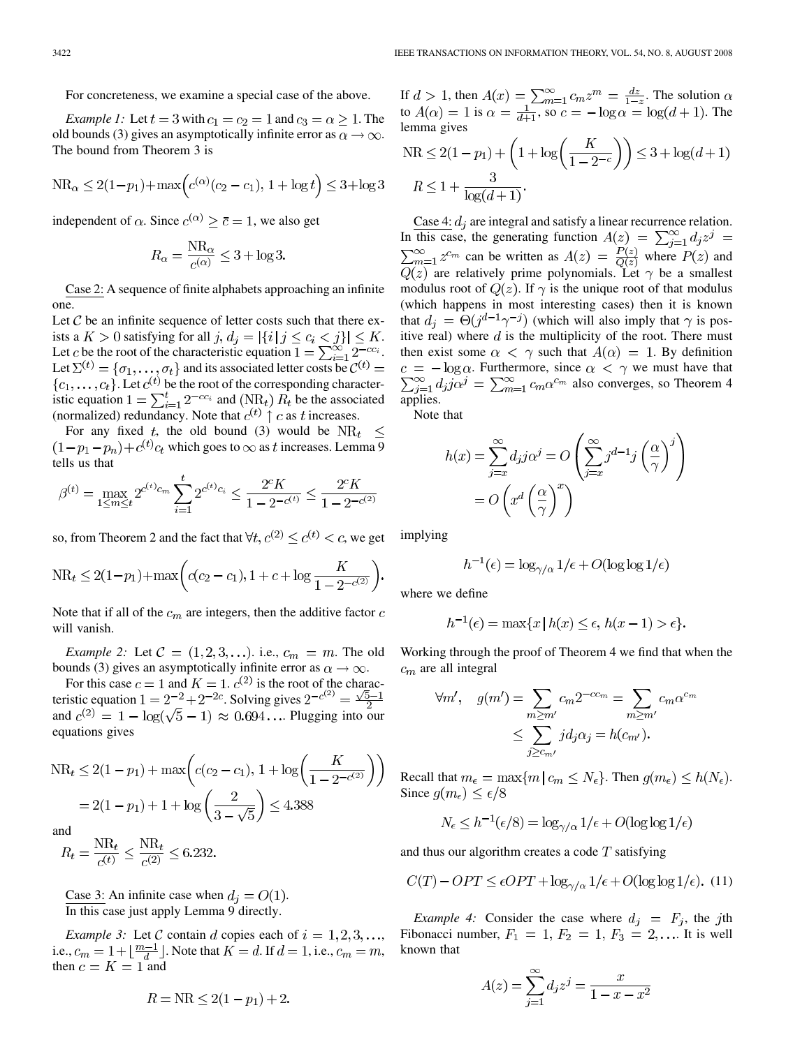For concreteness, we examine a special case of the above.

*Example 1:* Let  $t = 3$  with  $c_1 = c_2 = 1$  and  $c_3 = \alpha \ge 1$ . The old bounds (3) gives an asymptotically infinite error as  $\alpha \to \infty$ . The bound from Theorem 3 is

$$
NR_{\alpha} \le 2(1 - p_1) + \max\left(c^{(\alpha)}(c_2 - c_1), 1 + \log t\right) \le 3 + \log 3
$$

independent of  $\alpha$ . Since  $c^{(\alpha)} \ge \overline{c} = 1$ , we also get

$$
R_{\alpha} = \frac{\text{NR}_{\alpha}}{c^{(\alpha)}} \le 3 + \log 3.
$$

Case 2: A sequence of finite alphabets approaching an infinite one.

Let  $\mathcal C$  be an infinite sequence of letter costs such that there exists a  $K > 0$  satisfying for all  $j, d_i = |\{i \mid j \le c_i < j\}| \le K$ . Let c be the root of the characteristic equation  $1 = \sum_{i=1}^{\infty} 2^{-cc_i}$ . Let  $\Sigma^{(t)} = {\sigma_1, \ldots, \sigma_t}$  and its associated letter costs be . Let  $c^{(t)}$  be the root of the corresponding characteristic equation  $1 = \sum_{i=1}^{t} 2^{-cc_i}$  and (NR<sub>t</sub>)  $R_t$  be the associated (normalized) redundancy. Note that  $c^{(t)} \uparrow c$  as t increases.

For any fixed t, the old bound (3) would be  $NR_t \leq$  $(1-p_1-p_n)+c^{(t)}c_t$  which goes to  $\infty$  as t increases. Lemma 9 tells us that

$$
\beta^{(t)} = \max_{1 \le m \le t} 2^{c^{(t)}c_m} \sum_{i=1}^t 2^{c^{(t)}c_i} \le \frac{2^c K}{1 - 2^{-c^{(t)}}} \le \frac{2^c K}{1 - 2^{-c^{(2)}}}
$$

so, from Theorem 2 and the fact that  $\forall t, c^{(2)} \leq c^{(t)} < c$ , we get

$$
NR_t \le 2(1-p_1) + \max\left(c(c_2 - c_1), 1 + c + \log\frac{K}{1 - 2^{-c^{(2)}}}\right)
$$

Note that if all of the  $c_m$  are integers, then the additive factor  $c$ will vanish.

*Example 2:* Let  $C = (1, 2, 3, ...)$ . i.e.,  $c_m = m$ . The old bounds (3) gives an asymptotically infinite error as  $\alpha \rightarrow \infty$ .

For this case  $c = 1$  and  $K = 1$ .  $c^{(2)}$  is the root of the characteristic equation  $1 = 2^{-2} + 2^{-2c}$ . Solving gives and  $c^{(2)} = 1 - \log(\sqrt{5} - 1) \approx 0.694...$  Plugging into our equations gives

$$
NR_t \le 2(1 - p_1) + \max\left(c(c_2 - c_1), 1 + \log\left(\frac{K}{1 - 2^{-c^{(2)}}}\right)\right)
$$

$$
= 2(1 - p_1) + 1 + \log\left(\frac{2}{3 - \sqrt{5}}\right) \le 4.388
$$

and

$$
R_t = \frac{\text{NR}_t}{c^{(t)}} \le \frac{\text{NR}_t}{c^{(2)}} \le 6.232.
$$

Case 3: An infinite case when  $d_i = O(1)$ . In this case just apply Lemma 9 directly.

*Example 3:* Let C contain d copies each of  $i = 1, 2, 3, \ldots$ , i.e.,  $c_m = 1 + \frac{m-1}{d}$ . Note that  $K = d$ . If  $d = 1$ , i.e.,  $c_m = m$ , then  $c = K = 1$  and

$$
R = \text{NR} \le 2(1 - p_1) + 2
$$

If  $d > 1$ , then  $A(x) = \sum_{m=1}^{\infty} c_m z^m = \frac{dz}{1-z}$ . The solution to  $A(\alpha) = 1$  is  $\alpha = \frac{1}{d+1}$ , so  $c = -\log \alpha = \log(d+1)$ . The lemma gives  $\sqrt{V}$ 

$$
NR \le 2(1 - p_1) + \left(1 + \log\left(\frac{K}{1 - 2^{-c}}\right)\right) \le 3 + \log(d + 1)
$$
  

$$
R \le 1 + \frac{3}{\log(d + 1)}.
$$

Case 4:  $d_i$  are integral and satisfy a linear recurrence relation. In this case, the generating function can be written as  $A(z) = \frac{F(z)}{Q(z)}$  where  $P(z)$  and are relatively prime polynomials. Let  $\gamma$  be a smallest modulus root of  $Q(z)$ . If  $\gamma$  is the unique root of that modulus (which happens in most interesting cases) then it is known that  $d_i = \Theta(j^{d-1}\gamma^{-j})$  (which will also imply that  $\gamma$  is positive real) where  $d$  is the multiplicity of the root. There must then exist some  $\alpha < \gamma$  such that  $A(\alpha) = 1$ . By definition  $c = -\log \alpha$ . Furthermore, since  $\alpha < \gamma$  we must have that  $\sum_{j=1}^{\infty} d_j j \alpha^j = \sum_{m=1}^{\infty} c_m \alpha^{c_m}$  also converges, so Theorem 4 applies.

Note that

$$
h(x) = \sum_{j=x}^{\infty} d_j j \alpha^j = O\left(\sum_{j=x}^{\infty} j^{d-1} j \left(\frac{\alpha}{\gamma}\right)^j\right)
$$

$$
= O\left(x^d \left(\frac{\alpha}{\gamma}\right)^x\right)
$$

implying

$$
h^{-1}(\epsilon) = \log_{\gamma/\alpha} 1/\epsilon + O(\log \log 1/\epsilon)
$$

where we define

$$
h^{-1}(\epsilon) = \max\{x \mid h(x) \le \epsilon, h(x - 1) > \epsilon\}.
$$

Working through the proof of Theorem 4 we find that when the  $c_m$  are all integral

$$
\forall m', \quad g(m') = \sum_{m \ge m'} c_m 2^{-cc_m} = \sum_{m \ge m'} c_m \alpha^{c_m}
$$

$$
\le \sum_{j \ge c_{m'}} j d_j \alpha_j = h(c_{m'}).
$$

Recall that  $m_{\epsilon} = \max\{m \mid c_m \leq N_{\epsilon}\}\.$  Then  $g(m_{\epsilon}) \leq h(N_{\epsilon})\.$ Since  $g(m_{\epsilon}) \leq \epsilon/8$ 

$$
N_{\epsilon} \le h^{-1}(\epsilon/8) = \log_{\gamma/\alpha} 1/\epsilon + O(\log \log 1/\epsilon)
$$

and thus our algorithm creates a code  $T$  satisfying

$$
C(T) - OPT \le \epsilon OPT + \log_{\gamma/\alpha} 1/\epsilon + O(\log \log 1/\epsilon). \tag{11}
$$

*Example 4:* Consider the case where  $d_j = F_j$ , the jth Fibonacci number,  $F_1 = 1$ ,  $F_2 = 1$ ,  $F_3 = 2$ ,... It is well known that

$$
A(z) = \sum_{j=1}^{\infty} d_j z^j = \frac{x}{1 - x - x^2}
$$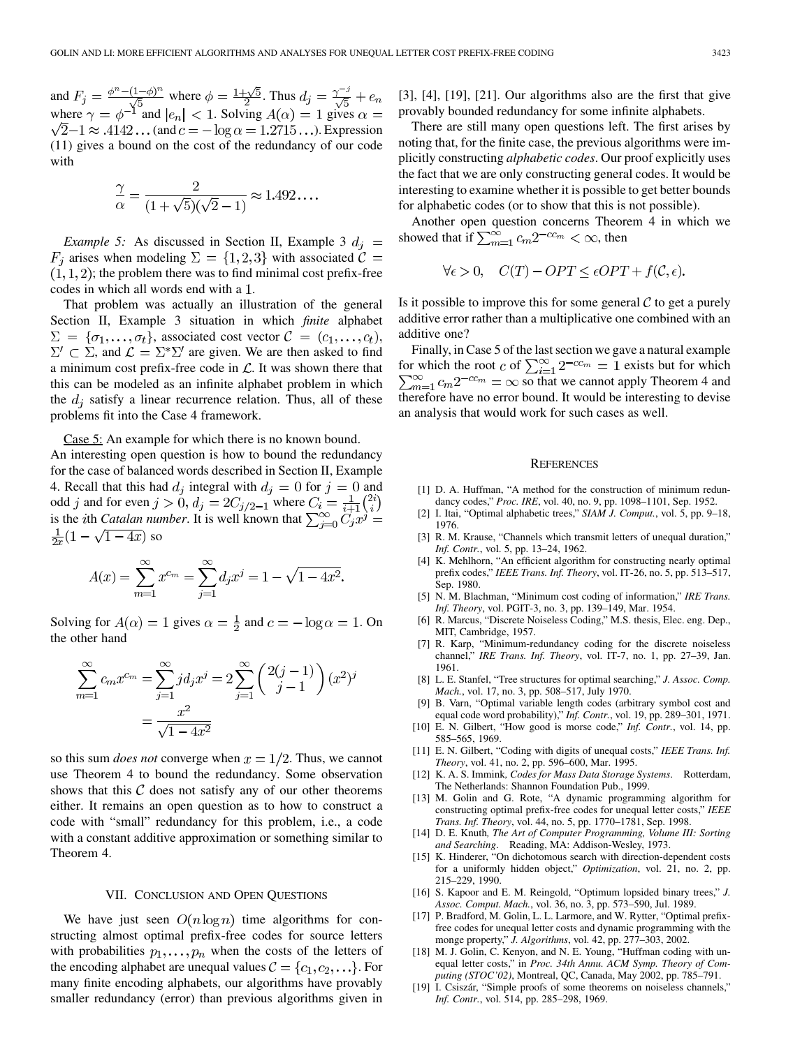and  $F_i = \frac{\phi - (1-\phi)}{\sqrt{\epsilon}}$  where  $\phi = \frac{1+\sqrt{5}}{2}$ . Thus where  $\gamma = \phi^{-1}$  and  $|e_n| < 1$ . Solving  $A(\alpha) = 1$  gives  $\sqrt{2}-1 \approx .4142...$  (and  $c = -\log \alpha = 1.2715...$ ). Expression (11) gives a bound on the cost of the redundancy of our code with

$$
\frac{\gamma}{\alpha} = \frac{2}{(1+\sqrt{5})(\sqrt{2}-1)} \approx 1.492\dots
$$

*Example 5:* As discussed in Section II, Example 3  $d_i$  =  $F_i$  arises when modeling  $\Sigma = \{1,2,3\}$  with associated  $\mathcal{C} =$  $(1, 1, 2)$ ; the problem there was to find minimal cost prefix-free codes in which all words end with a 1.

That problem was actually an illustration of the general Section II, Example 3 situation in which *finite* alphabet  $\Sigma = {\sigma_1, \ldots, \sigma_t}$ , associated cost vector  $\mathcal{C} = (c_1, \ldots, c_t)$ ,  $\Sigma' \subset \Sigma$ , and  $\mathcal{L} = \Sigma^* \Sigma'$  are given. We are then asked to find a minimum cost prefix-free code in  $\mathcal{L}$ . It was shown there that this can be modeled as an infinite alphabet problem in which the  $d_i$  satisfy a linear recurrence relation. Thus, all of these problems fit into the Case 4 framework.

Case 5: An example for which there is no known bound.

An interesting open question is how to bound the redundancy for the case of balanced words described in Section II, Example 4. Recall that this had  $d_i$  integral with  $d_i = 0$  for  $j = 0$  and odd j and for even  $j > 0$ ,  $d_i = 2C_{i/2-1}$  where is the *i*th *Catalan number*. It is well known that  $\frac{1}{2x}(1-\sqrt{1-4x})$  so

$$
A(x) = \sum_{m=1}^{\infty} x^{c_m} = \sum_{j=1}^{\infty} d_j x^j = 1 - \sqrt{1 - 4x^2}
$$

Solving for  $A(\alpha) = 1$  gives  $\alpha = \frac{1}{2}$  and  $c = -\log \alpha = 1$ . On the other hand

$$
\sum_{m=1}^{\infty} c_m x^{c_m} = \sum_{j=1}^{\infty} j d_j x^j = 2 \sum_{j=1}^{\infty} \binom{2(j-1)}{j-1} (x^2)^j
$$

$$
= \frac{x^2}{\sqrt{1-4x^2}}
$$

so this sum *does not* converge when  $x = 1/2$ . Thus, we cannot use Theorem 4 to bound the redundancy. Some observation shows that this  $C$  does not satisfy any of our other theorems either. It remains an open question as to how to construct a code with "small" redundancy for this problem, i.e., a code with a constant additive approximation or something similar to Theorem 4.

## VII. CONCLUSION AND OPEN QUESTIONS

We have just seen  $O(n \log n)$  time algorithms for constructing almost optimal prefix-free codes for source letters with probabilities  $p_1, \ldots, p_n$  when the costs of the letters of the encoding alphabet are unequal values  $C = \{c_1, c_2, \ldots\}$ . For many finite encoding alphabets, our algorithms have provably smaller redundancy (error) than previous algorithms given in [3], [4], [19], [21]. Our algorithms also are the first that give provably bounded redundancy for some infinite alphabets.

There are still many open questions left. The first arises by noting that, for the finite case, the previous algorithms were implicitly constructing *alphabetic codes*. Our proof explicitly uses the fact that we are only constructing general codes. It would be interesting to examine whether it is possible to get better bounds for alphabetic codes (or to show that this is not possible).

Another open question concerns Theorem 4 in which we showed that if  $\sum_{m=1}^{\infty} c_m 2^{-cc_m} < \infty$ , then

$$
\forall \epsilon > 0, \quad C(T) - OPT \le \epsilon OPT + f(\mathcal{C}, \epsilon).
$$

Is it possible to improve this for some general  $\mathcal C$  to get a purely additive error rather than a multiplicative one combined with an additive one?

Finally, in Case 5 of the last section we gave a natural example for which the root c of  $\sum_{i=1}^{\infty} 2^{-cc_m} = 1$  exists but for which so that we cannot apply Theorem 4 and therefore have no error bound. It would be interesting to devise an analysis that would work for such cases as well.

### **REFERENCES**

- [1] D. A. Huffman, "A method for the construction of minimum redundancy codes," *Proc. IRE*, vol. 40, no. 9, pp. 1098–1101, Sep. 1952.
- [2] I. Itai, "Optimal alphabetic trees," *SIAM J. Comput.*, vol. 5, pp. 9–18, 1976.
- [3] R. M. Krause, "Channels which transmit letters of unequal duration," *Inf. Contr.*, vol. 5, pp. 13–24, 1962.
- [4] K. Mehlhorn, "An efficient algorithm for constructing nearly optimal prefix codes," *IEEE Trans. Inf. Theory*, vol. IT-26, no. 5, pp. 513–517, Sep. 1980.
- [5] N. M. Blachman, "Minimum cost coding of information," *IRE Trans. Inf. Theory*, vol. PGIT-3, no. 3, pp. 139–149, Mar. 1954.
- [6] R. Marcus, "Discrete Noiseless Coding," M.S. thesis, Elec. eng. Dep., MIT, Cambridge, 1957.
- [7] R. Karp, "Minimum-redundancy coding for the discrete noiseless channel," *IRE Trans. Inf. Theory*, vol. IT-7, no. 1, pp. 27–39, Jan. 1961.
- [8] L. E. Stanfel, "Tree structures for optimal searching," *J. Assoc. Comp. Mach.*, vol. 17, no. 3, pp. 508–517, July 1970.
- [9] B. Varn, "Optimal variable length codes (arbitrary symbol cost and equal code word probability)," *Inf. Contr.*, vol. 19, pp. 289–301, 1971.
- [10] E. N. Gilbert, "How good is morse code," *Inf. Contr.*, vol. 14, pp. 585–565, 1969.
- [11] E. N. Gilbert, "Coding with digits of unequal costs," *IEEE Trans. Inf. Theory*, vol. 41, no. 2, pp. 596–600, Mar. 1995.
- [12] K. A. S. Immink*, Codes for Mass Data Storage Systems*. Rotterdam, The Netherlands: Shannon Foundation Pub., 1999.
- [13] M. Golin and G. Rote, "A dynamic programming algorithm for constructing optimal prefix-free codes for unequal letter costs," *IEEE Trans. Inf. Theory*, vol. 44, no. 5, pp. 1770–1781, Sep. 1998.
- [14] D. E. Knuth*, The Art of Computer Programming, Volume III: Sorting and Searching*. Reading, MA: Addison-Wesley, 1973.
- [15] K. Hinderer, "On dichotomous search with direction-dependent costs for a uniformly hidden object," *Optimization*, vol. 21, no. 2, pp. 215–229, 1990.
- [16] S. Kapoor and E. M. Reingold, "Optimum lopsided binary trees," *J. Assoc. Comput. Mach.*, vol. 36, no. 3, pp. 573–590, Jul. 1989.
- [17] P. Bradford, M. Golin, L. L. Larmore, and W. Rytter, "Optimal prefixfree codes for unequal letter costs and dynamic programming with the monge property," *J. Algorithms*, vol. 42, pp. 277–303, 2002.
- [18] M. J. Golin, C. Kenyon, and N. E. Young, "Huffman coding with unequal letter costs," in *Proc. 34th Annu. ACM Symp. Theory of Computing (STOC'02)*, Montreal, QC, Canada, May 2002, pp. 785–791.
- [19] I. Csiszár, "Simple proofs of some theorems on noiseless channels," *Inf. Contr.*, vol. 514, pp. 285–298, 1969.